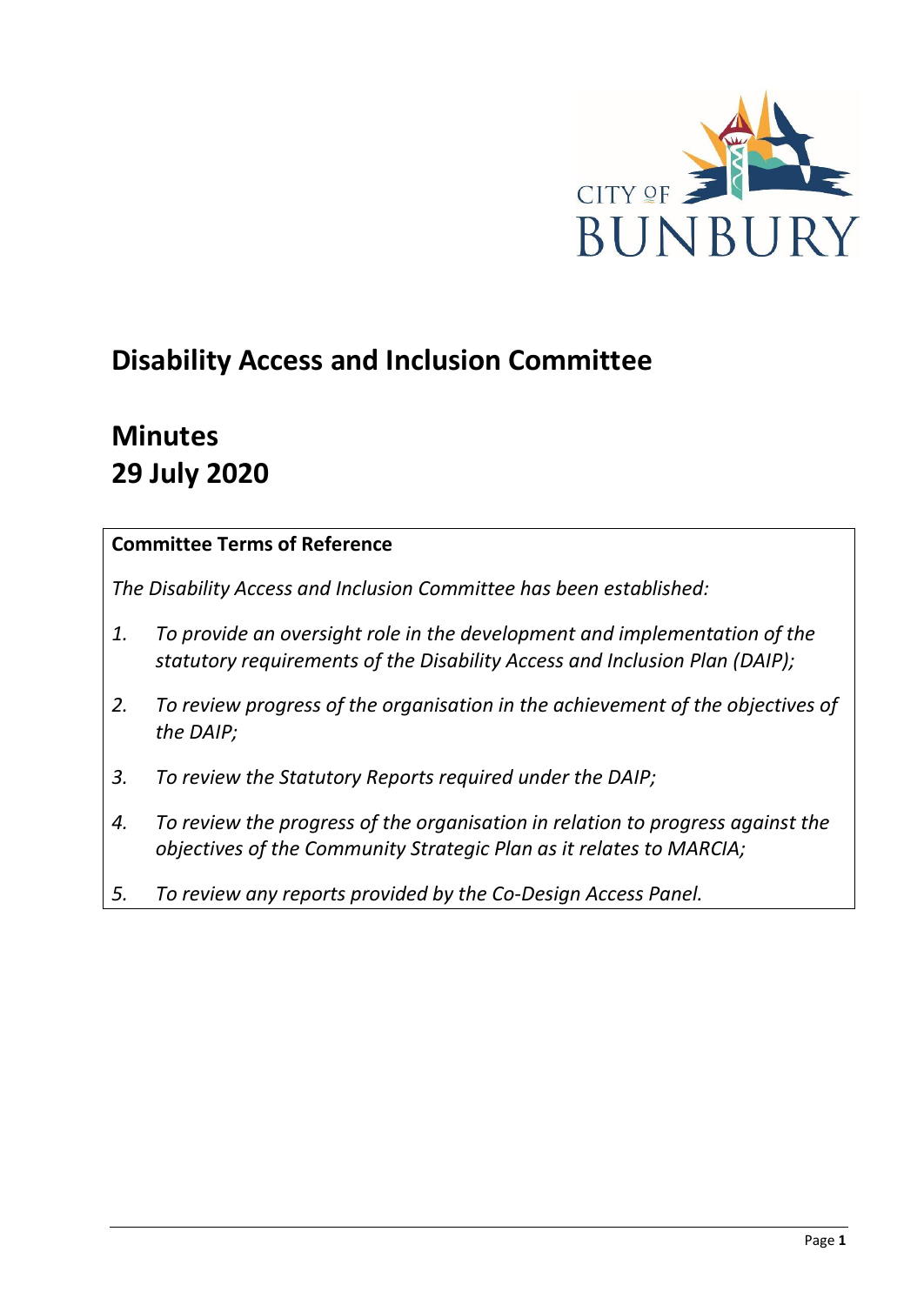

# **Disability Access and Inclusion Committee**

# **Minutes 29 July 2020**

## **Committee Terms of Reference**

*The Disability Access and Inclusion Committee has been established:* 

- *1. To provide an oversight role in the development and implementation of the statutory requirements of the Disability Access and Inclusion Plan (DAIP);*
- *2. To review progress of the organisation in the achievement of the objectives of the DAIP;*
- *3. To review the Statutory Reports required under the DAIP;*
- *4. To review the progress of the organisation in relation to progress against the objectives of the Community Strategic Plan as it relates to MARCIA;*
- *5. To review any reports provided by the Co-Design Access Panel.*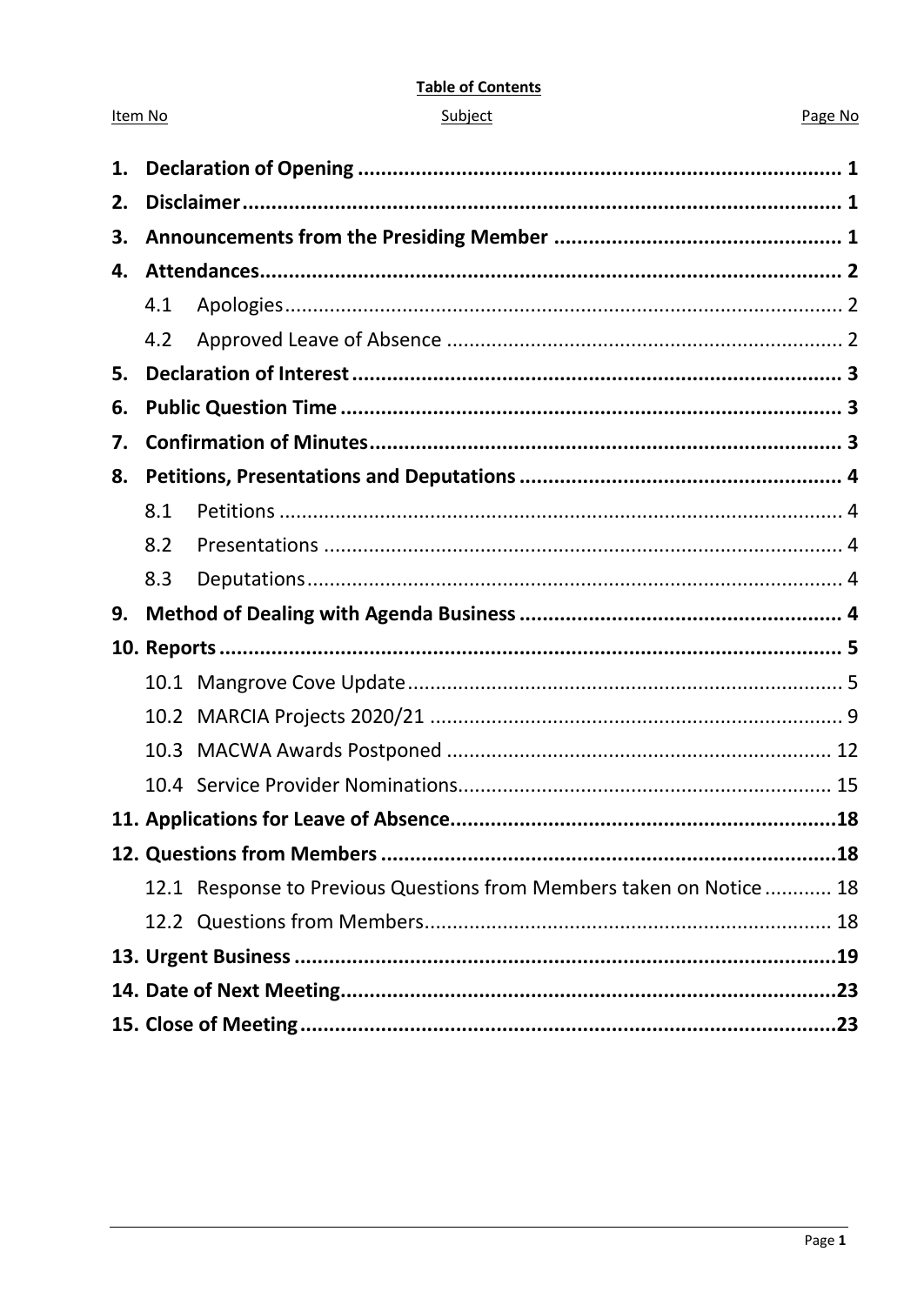#### **Table of Contents**

| ubie |  |
|------|--|
|      |  |
|      |  |

Item No

#### Page No

| 1. |      |                                                                     |  |
|----|------|---------------------------------------------------------------------|--|
| 2. |      |                                                                     |  |
| З. |      |                                                                     |  |
| 4. |      |                                                                     |  |
|    | 4.1  |                                                                     |  |
|    | 4.2  |                                                                     |  |
| 5. |      |                                                                     |  |
| 6. |      |                                                                     |  |
| 7. |      |                                                                     |  |
| 8. |      |                                                                     |  |
|    | 8.1  |                                                                     |  |
|    | 8.2  |                                                                     |  |
|    | 8.3  |                                                                     |  |
| 9. |      |                                                                     |  |
|    |      |                                                                     |  |
|    |      |                                                                     |  |
|    |      |                                                                     |  |
|    | 10.3 |                                                                     |  |
|    |      |                                                                     |  |
|    |      |                                                                     |  |
|    |      |                                                                     |  |
|    |      | 12.1 Response to Previous Questions from Members taken on Notice 18 |  |
|    |      |                                                                     |  |
|    |      |                                                                     |  |
|    |      |                                                                     |  |
|    |      |                                                                     |  |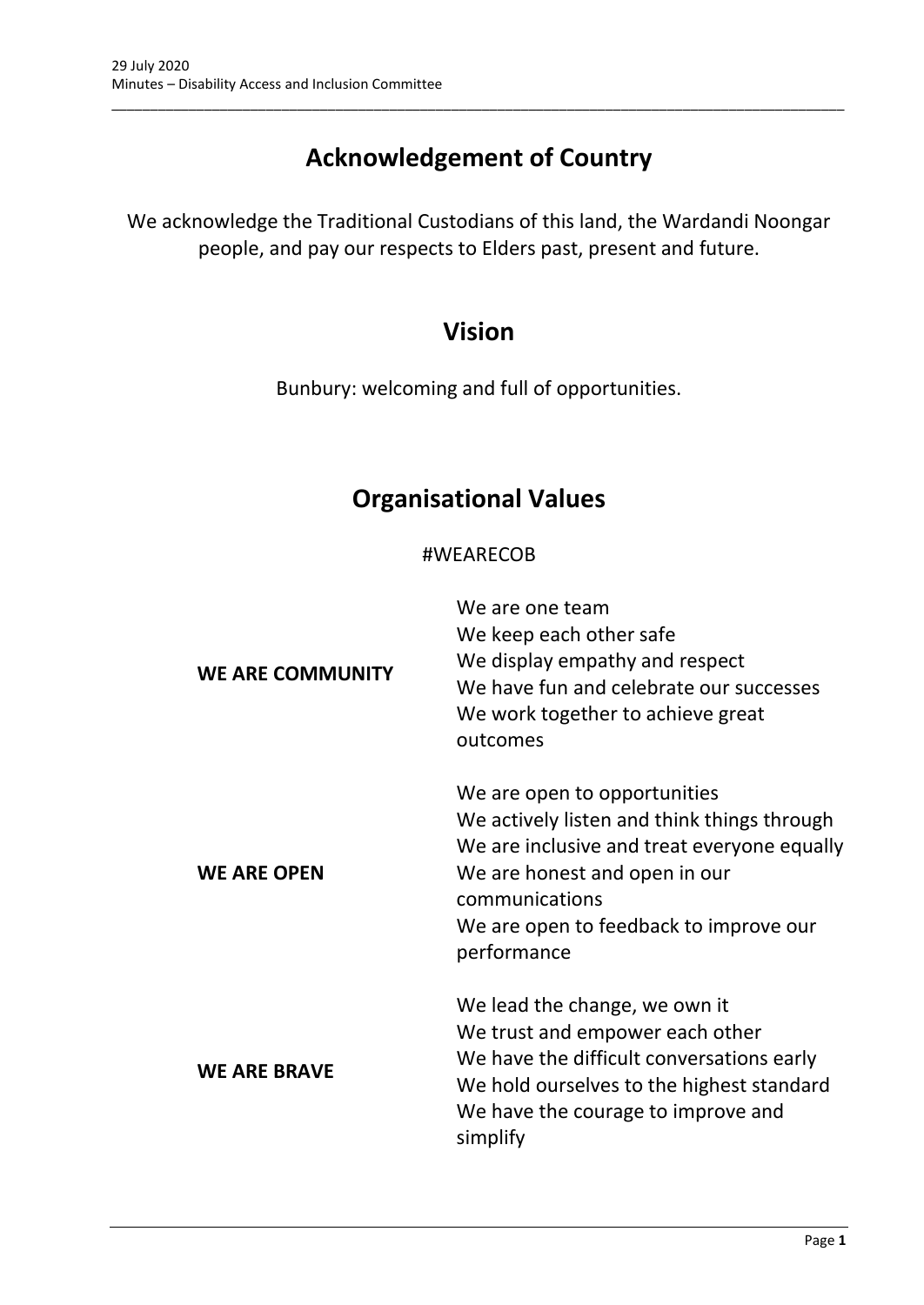## **Acknowledgement of Country**

\_\_\_\_\_\_\_\_\_\_\_\_\_\_\_\_\_\_\_\_\_\_\_\_\_\_\_\_\_\_\_\_\_\_\_\_\_\_\_\_\_\_\_\_\_\_\_\_\_\_\_\_\_\_\_\_\_\_\_\_\_\_\_\_\_\_\_\_\_\_\_\_\_\_\_\_\_\_\_\_\_\_\_\_\_\_\_\_\_\_\_\_\_\_\_

We acknowledge the Traditional Custodians of this land, the Wardandi Noongar people, and pay our respects to Elders past, present and future.

## **Vision**

Bunbury: welcoming and full of opportunities.

## **Organisational Values**

## #WEARECOB

| <b>WE ARE COMMUNITY</b> | We are one team<br>We keep each other safe<br>We display empathy and respect<br>We have fun and celebrate our successes<br>We work together to achieve great<br>outcomes                                                               |
|-------------------------|----------------------------------------------------------------------------------------------------------------------------------------------------------------------------------------------------------------------------------------|
| <b>WE ARE OPEN</b>      | We are open to opportunities<br>We actively listen and think things through<br>We are inclusive and treat everyone equally<br>We are honest and open in our<br>communications<br>We are open to feedback to improve our<br>performance |
| <b>WE ARE BRAVE</b>     | We lead the change, we own it<br>We trust and empower each other<br>We have the difficult conversations early<br>We hold ourselves to the highest standard<br>We have the courage to improve and<br>simplify                           |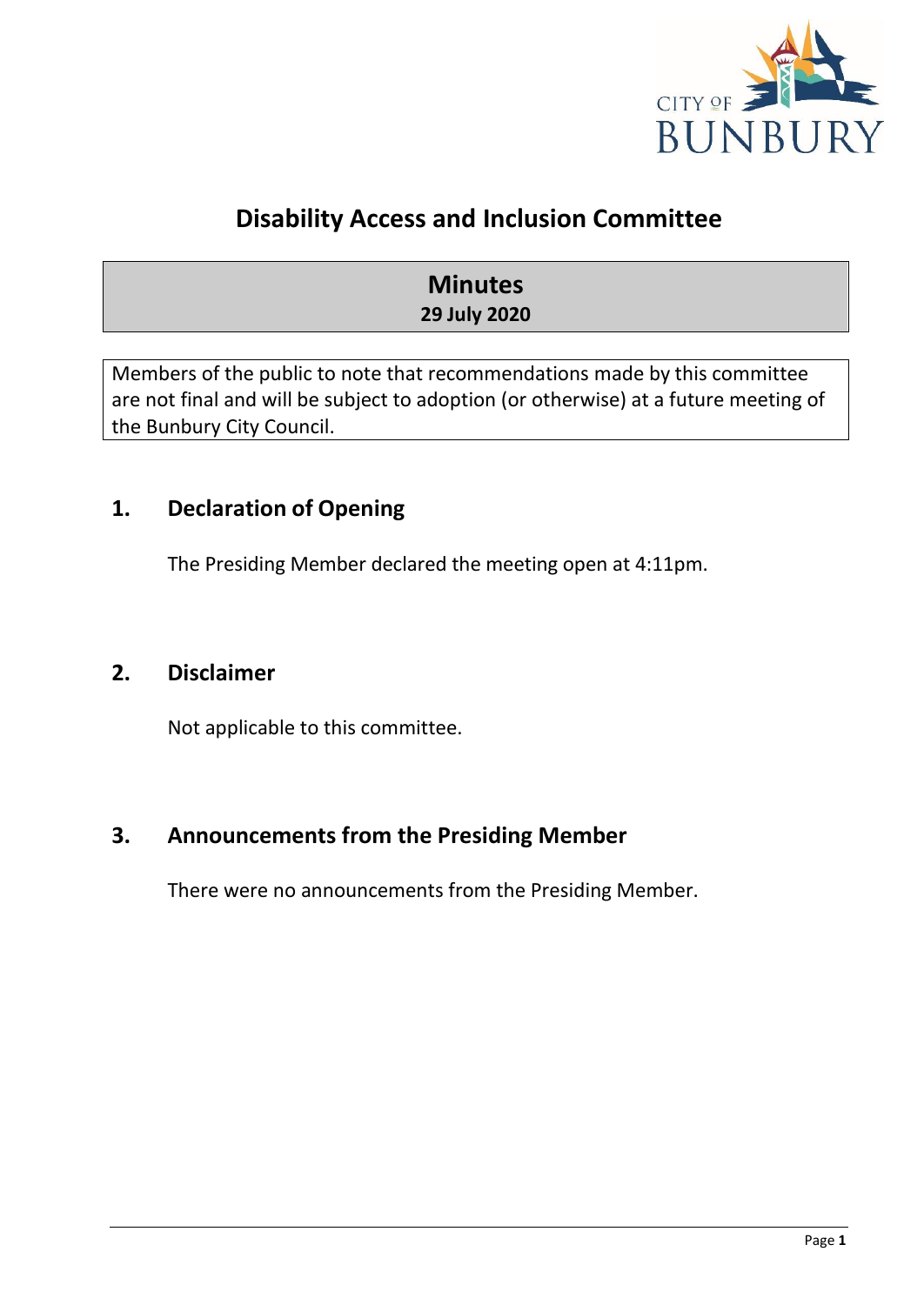

## **Disability Access and Inclusion Committee**

## **Minutes 29 July 2020**

Members of the public to note that recommendations made by this committee are not final and will be subject to adoption (or otherwise) at a future meeting of the Bunbury City Council.

## <span id="page-3-0"></span>**1. Declaration of Opening**

The Presiding Member declared the meeting open at 4:11pm.

## <span id="page-3-1"></span>**2. Disclaimer**

Not applicable to this committee.

## <span id="page-3-2"></span>**3. Announcements from the Presiding Member**

There were no announcements from the Presiding Member.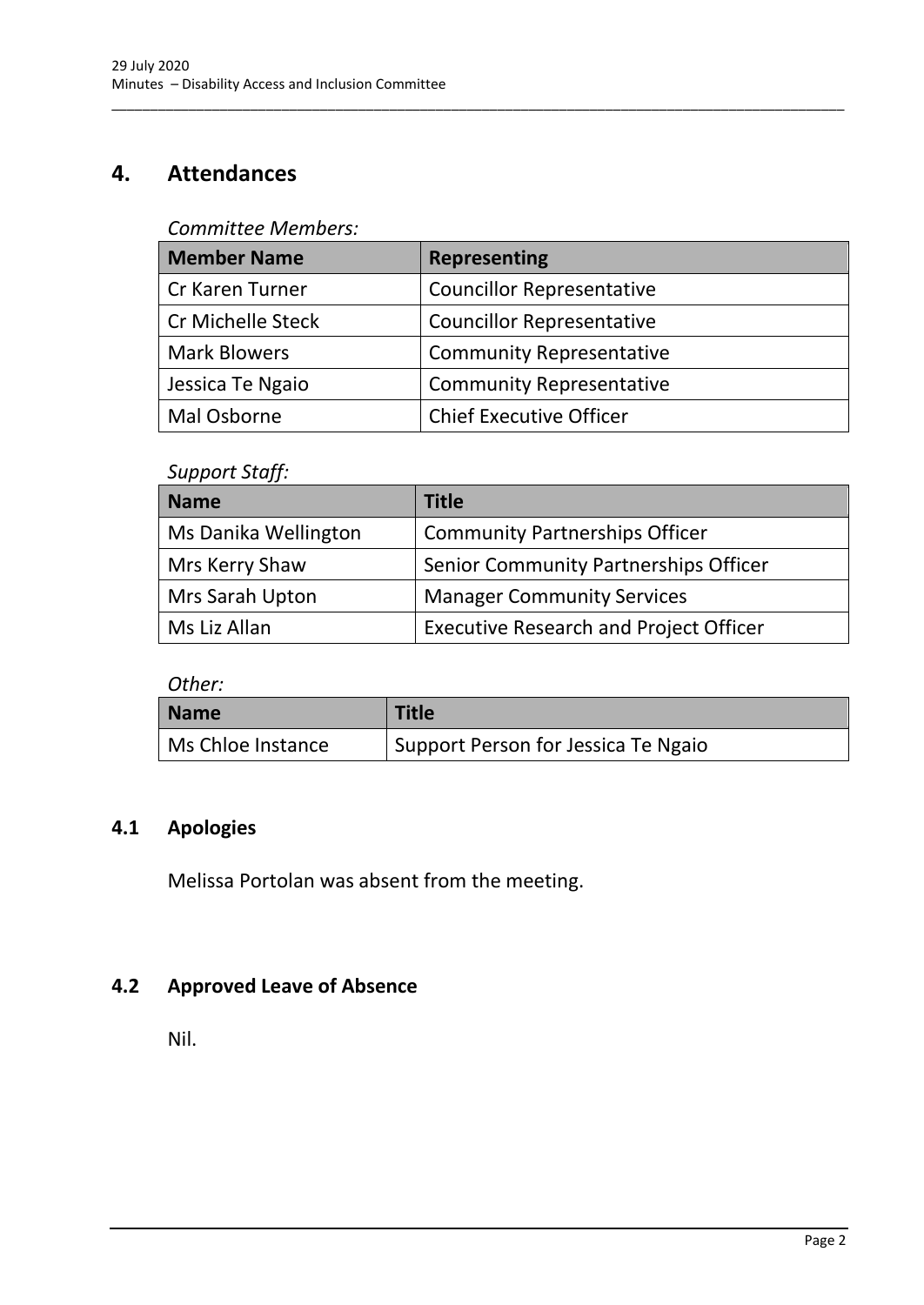## <span id="page-4-0"></span>**4. Attendances**

#### *Committee Members:*

| <b>Member Name</b>       | <b>Representing</b>              |
|--------------------------|----------------------------------|
| <b>Cr Karen Turner</b>   | <b>Councillor Representative</b> |
| <b>Cr Michelle Steck</b> | <b>Councillor Representative</b> |
| <b>Mark Blowers</b>      | <b>Community Representative</b>  |
| Jessica Te Ngaio         | <b>Community Representative</b>  |
| Mal Osborne              | <b>Chief Executive Officer</b>   |

\_\_\_\_\_\_\_\_\_\_\_\_\_\_\_\_\_\_\_\_\_\_\_\_\_\_\_\_\_\_\_\_\_\_\_\_\_\_\_\_\_\_\_\_\_\_\_\_\_\_\_\_\_\_\_\_\_\_\_\_\_\_\_\_\_\_\_\_\_\_\_\_\_\_\_\_\_\_\_\_\_\_\_\_\_\_\_\_\_\_\_\_\_\_\_

#### *Support Staff:*

| <b>Name</b>          | <b>Title</b>                                  |
|----------------------|-----------------------------------------------|
| Ms Danika Wellington | <b>Community Partnerships Officer</b>         |
| Mrs Kerry Shaw       | Senior Community Partnerships Officer         |
| Mrs Sarah Upton      | <b>Manager Community Services</b>             |
| Ms Liz Allan         | <b>Executive Research and Project Officer</b> |

*Other:*

| <b>Name</b>       | <b>Title</b>                        |
|-------------------|-------------------------------------|
| Ms Chloe Instance | Support Person for Jessica Te Ngaio |

## <span id="page-4-1"></span>**4.1 Apologies**

Melissa Portolan was absent from the meeting.

## <span id="page-4-2"></span>**4.2 Approved Leave of Absence**

Nil.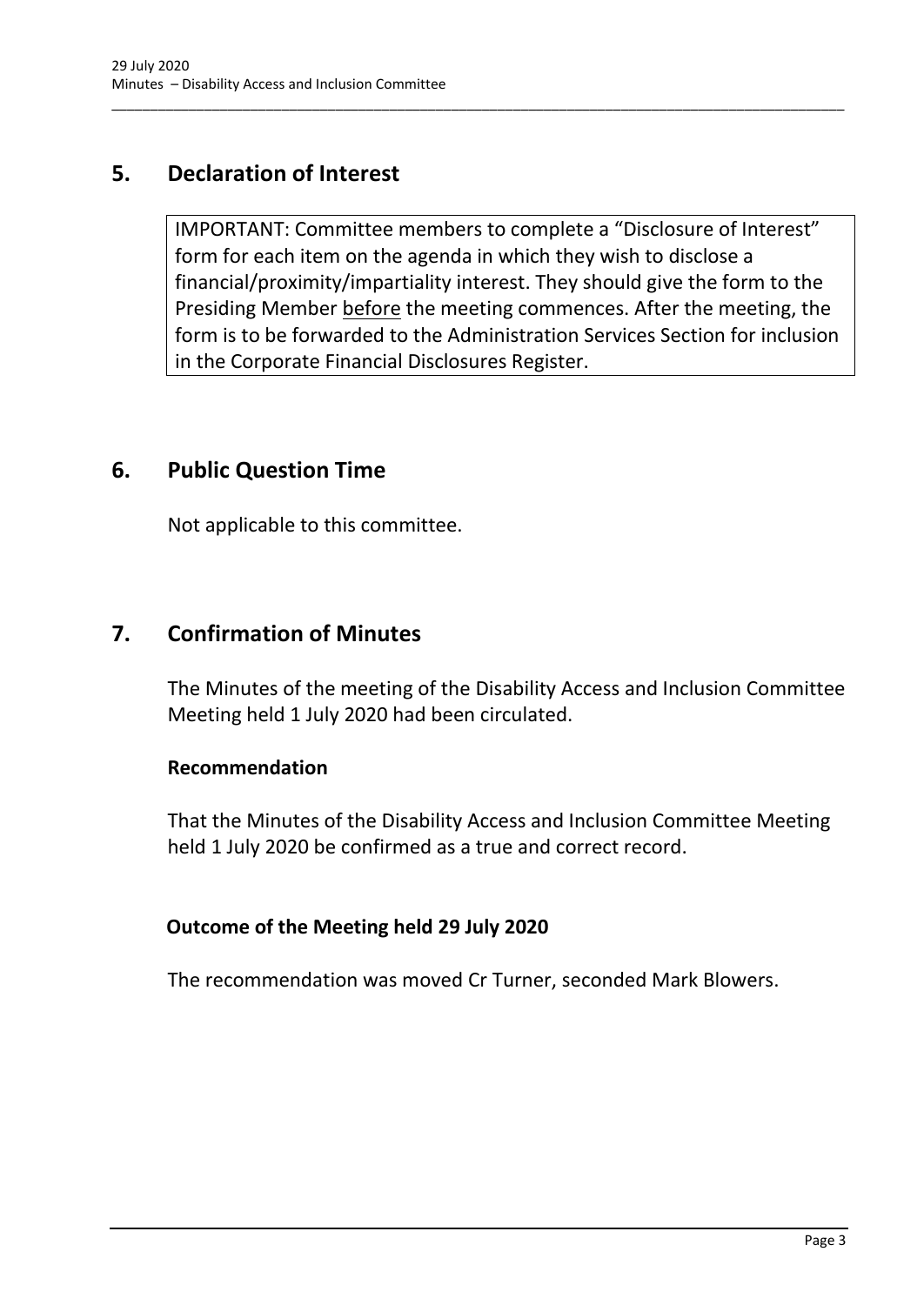## <span id="page-5-0"></span>**5. Declaration of Interest**

IMPORTANT: Committee members to complete a "Disclosure of Interest" form for each item on the agenda in which they wish to disclose a financial/proximity/impartiality interest. They should give the form to the Presiding Member before the meeting commences. After the meeting, the form is to be forwarded to the Administration Services Section for inclusion in the Corporate Financial Disclosures Register.

\_\_\_\_\_\_\_\_\_\_\_\_\_\_\_\_\_\_\_\_\_\_\_\_\_\_\_\_\_\_\_\_\_\_\_\_\_\_\_\_\_\_\_\_\_\_\_\_\_\_\_\_\_\_\_\_\_\_\_\_\_\_\_\_\_\_\_\_\_\_\_\_\_\_\_\_\_\_\_\_\_\_\_\_\_\_\_\_\_\_\_\_\_\_\_

## <span id="page-5-1"></span>**6. Public Question Time**

Not applicable to this committee.

## <span id="page-5-2"></span>**7. Confirmation of Minutes**

The Minutes of the meeting of the Disability Access and Inclusion Committee Meeting held 1 July 2020 had been circulated.

#### **Recommendation**

That the Minutes of the Disability Access and Inclusion Committee Meeting held 1 July 2020 be confirmed as a true and correct record.

## **Outcome of the Meeting held 29 July 2020**

The recommendation was moved Cr Turner, seconded Mark Blowers.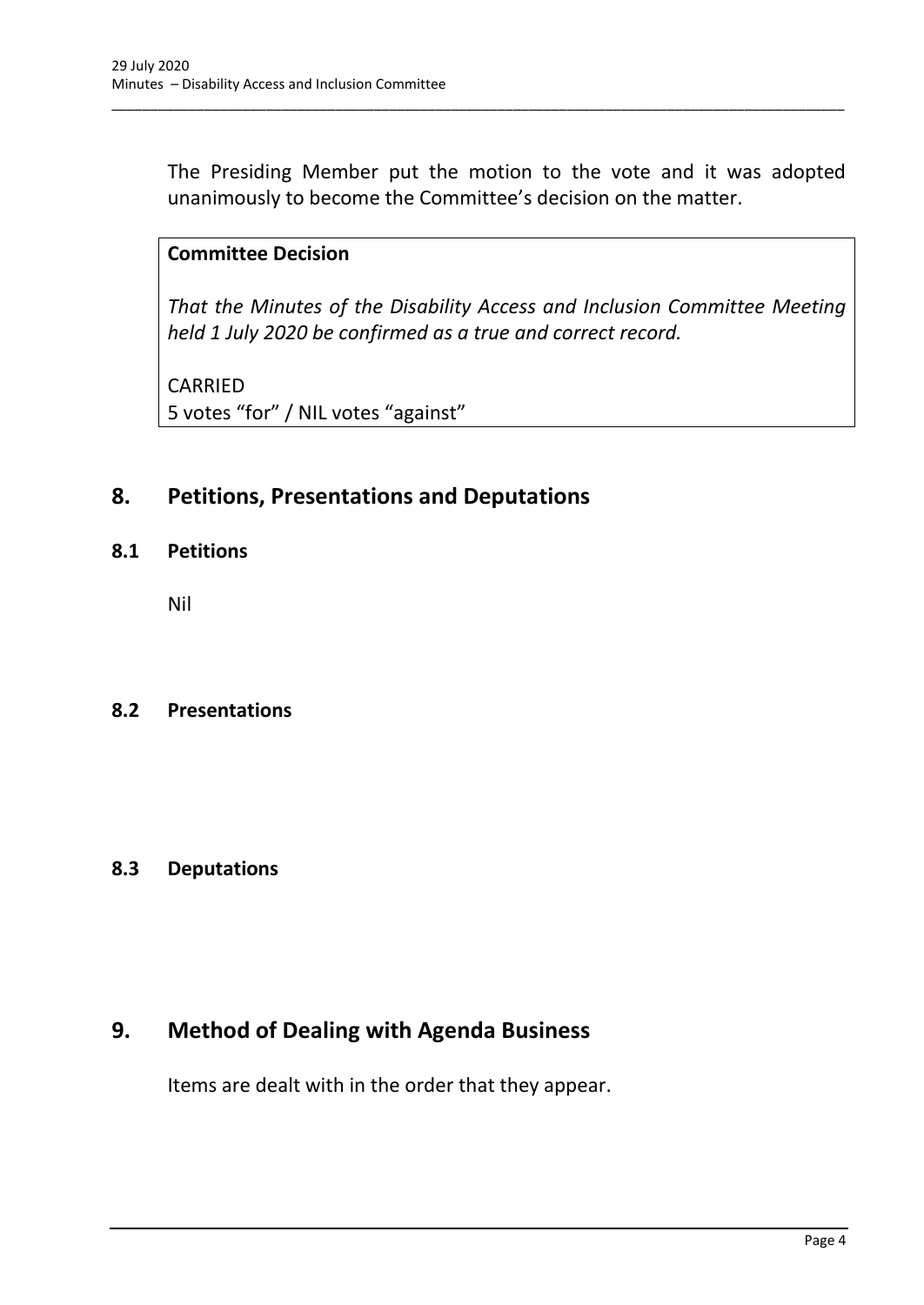The Presiding Member put the motion to the vote and it was adopted unanimously to become the Committee's decision on the matter.

\_\_\_\_\_\_\_\_\_\_\_\_\_\_\_\_\_\_\_\_\_\_\_\_\_\_\_\_\_\_\_\_\_\_\_\_\_\_\_\_\_\_\_\_\_\_\_\_\_\_\_\_\_\_\_\_\_\_\_\_\_\_\_\_\_\_\_\_\_\_\_\_\_\_\_\_\_\_\_\_\_\_\_\_\_\_\_\_\_\_\_\_\_\_\_

## **Committee Decision**

*That the Minutes of the Disability Access and Inclusion Committee Meeting held 1 July 2020 be confirmed as a true and correct record.*

CARRIED 5 votes "for" / NIL votes "against"

## <span id="page-6-0"></span>**8. Petitions, Presentations and Deputations**

<span id="page-6-1"></span>**8.1 Petitions**

Nil

#### <span id="page-6-2"></span>**8.2 Presentations**

## <span id="page-6-3"></span>**8.3 Deputations**

## <span id="page-6-4"></span>**9. Method of Dealing with Agenda Business**

Items are dealt with in the order that they appear.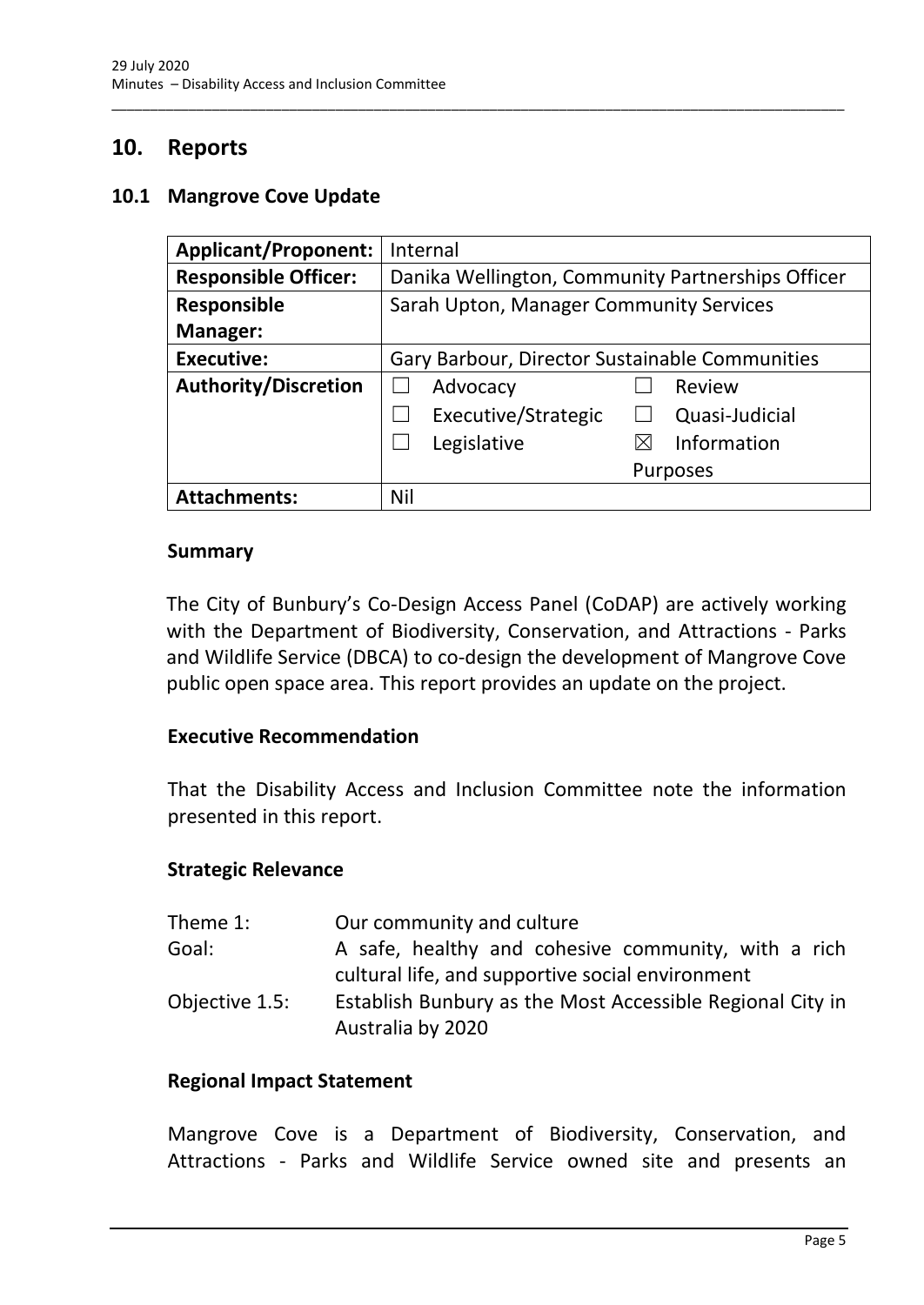## <span id="page-7-0"></span>**10. Reports**

#### <span id="page-7-1"></span>**10.1 Mangrove Cove Update**

| <b>Applicant/Proponent:</b> | Internal                                          |
|-----------------------------|---------------------------------------------------|
| <b>Responsible Officer:</b> | Danika Wellington, Community Partnerships Officer |
| <b>Responsible</b>          | Sarah Upton, Manager Community Services           |
| <b>Manager:</b>             |                                                   |
| <b>Executive:</b>           | Gary Barbour, Director Sustainable Communities    |
| <b>Authority/Discretion</b> | Review<br>Advocacy                                |
|                             | Executive/Strategic<br>Quasi-Judicial             |
|                             | Legislative<br>Information                        |
|                             | <b>Purposes</b>                                   |
| <b>Attachments:</b>         | Nil                                               |

\_\_\_\_\_\_\_\_\_\_\_\_\_\_\_\_\_\_\_\_\_\_\_\_\_\_\_\_\_\_\_\_\_\_\_\_\_\_\_\_\_\_\_\_\_\_\_\_\_\_\_\_\_\_\_\_\_\_\_\_\_\_\_\_\_\_\_\_\_\_\_\_\_\_\_\_\_\_\_\_\_\_\_\_\_\_\_\_\_\_\_\_\_\_\_

#### **Summary**

The City of Bunbury's Co-Design Access Panel (CoDAP) are actively working with the Department of Biodiversity, Conservation, and Attractions - Parks and Wildlife Service (DBCA) to co-design the development of Mangrove Cove public open space area. This report provides an update on the project.

#### **Executive Recommendation**

That the Disability Access and Inclusion Committee note the information presented in this report.

#### **Strategic Relevance**

| Theme 1:       | Our community and culture                                                                               |
|----------------|---------------------------------------------------------------------------------------------------------|
| Goal:          | A safe, healthy and cohesive community, with a rich<br>cultural life, and supportive social environment |
| Objective 1.5: | Establish Bunbury as the Most Accessible Regional City in<br>Australia by 2020                          |

#### **Regional Impact Statement**

Mangrove Cove is a Department of Biodiversity, Conservation, and Attractions - Parks and Wildlife Service owned site and presents an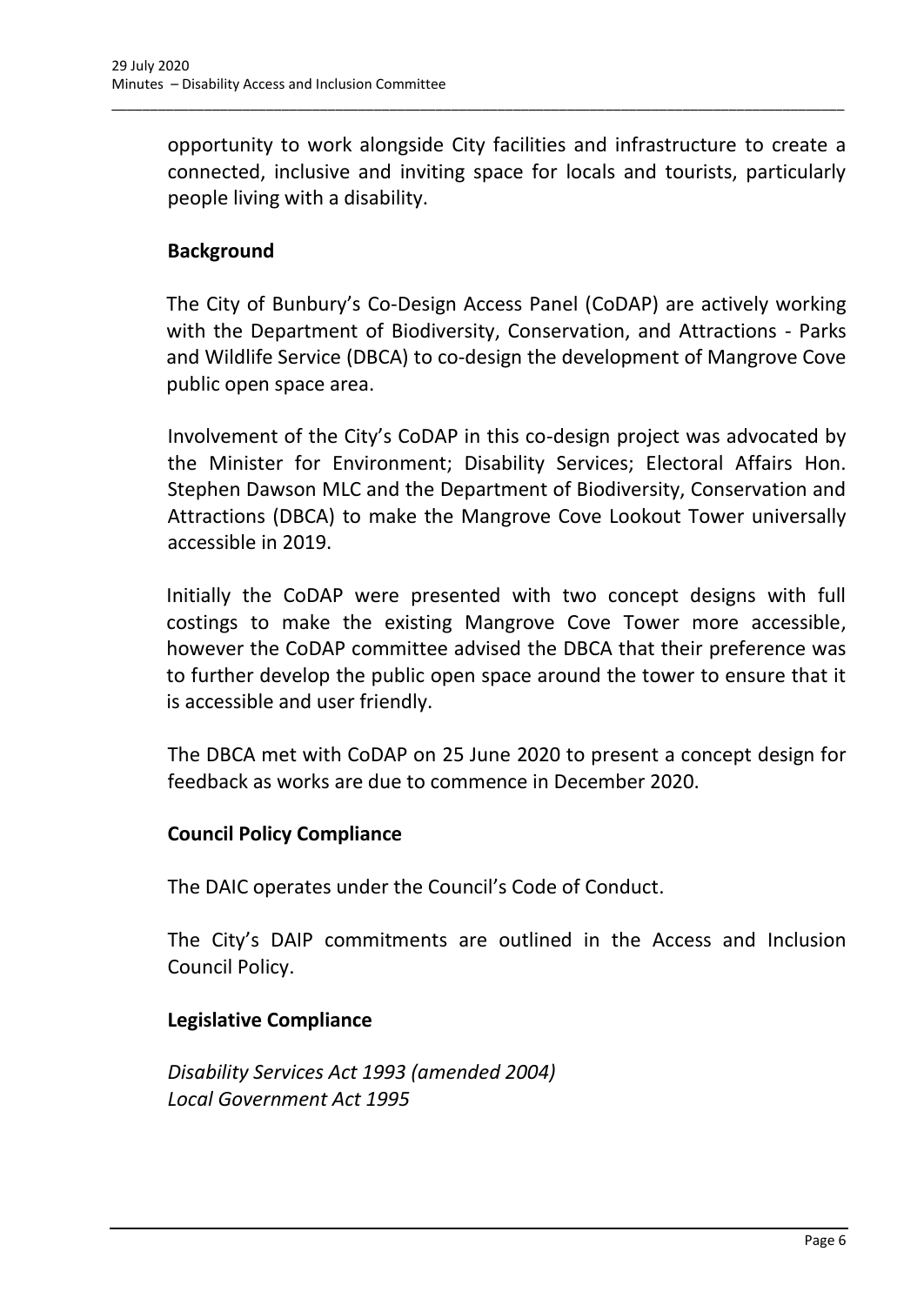opportunity to work alongside City facilities and infrastructure to create a connected, inclusive and inviting space for locals and tourists, particularly people living with a disability.

\_\_\_\_\_\_\_\_\_\_\_\_\_\_\_\_\_\_\_\_\_\_\_\_\_\_\_\_\_\_\_\_\_\_\_\_\_\_\_\_\_\_\_\_\_\_\_\_\_\_\_\_\_\_\_\_\_\_\_\_\_\_\_\_\_\_\_\_\_\_\_\_\_\_\_\_\_\_\_\_\_\_\_\_\_\_\_\_\_\_\_\_\_\_\_

## **Background**

The City of Bunbury's Co-Design Access Panel (CoDAP) are actively working with the Department of Biodiversity, Conservation, and Attractions - Parks and Wildlife Service (DBCA) to co-design the development of Mangrove Cove public open space area.

Involvement of the City's CoDAP in this co-design project was advocated by the Minister for Environment; Disability Services; Electoral Affairs Hon. Stephen Dawson MLC and the Department of Biodiversity, Conservation and Attractions (DBCA) to make the Mangrove Cove Lookout Tower universally accessible in 2019.

Initially the CoDAP were presented with two concept designs with full costings to make the existing Mangrove Cove Tower more accessible, however the CoDAP committee advised the DBCA that their preference was to further develop the public open space around the tower to ensure that it is accessible and user friendly.

The DBCA met with CoDAP on 25 June 2020 to present a concept design for feedback as works are due to commence in December 2020.

## **Council Policy Compliance**

The DAIC operates under the Council's Code of Conduct.

The City's DAIP commitments are outlined in the Access and Inclusion Council Policy.

## **Legislative Compliance**

*Disability Services Act 1993 (amended 2004) Local Government Act 1995*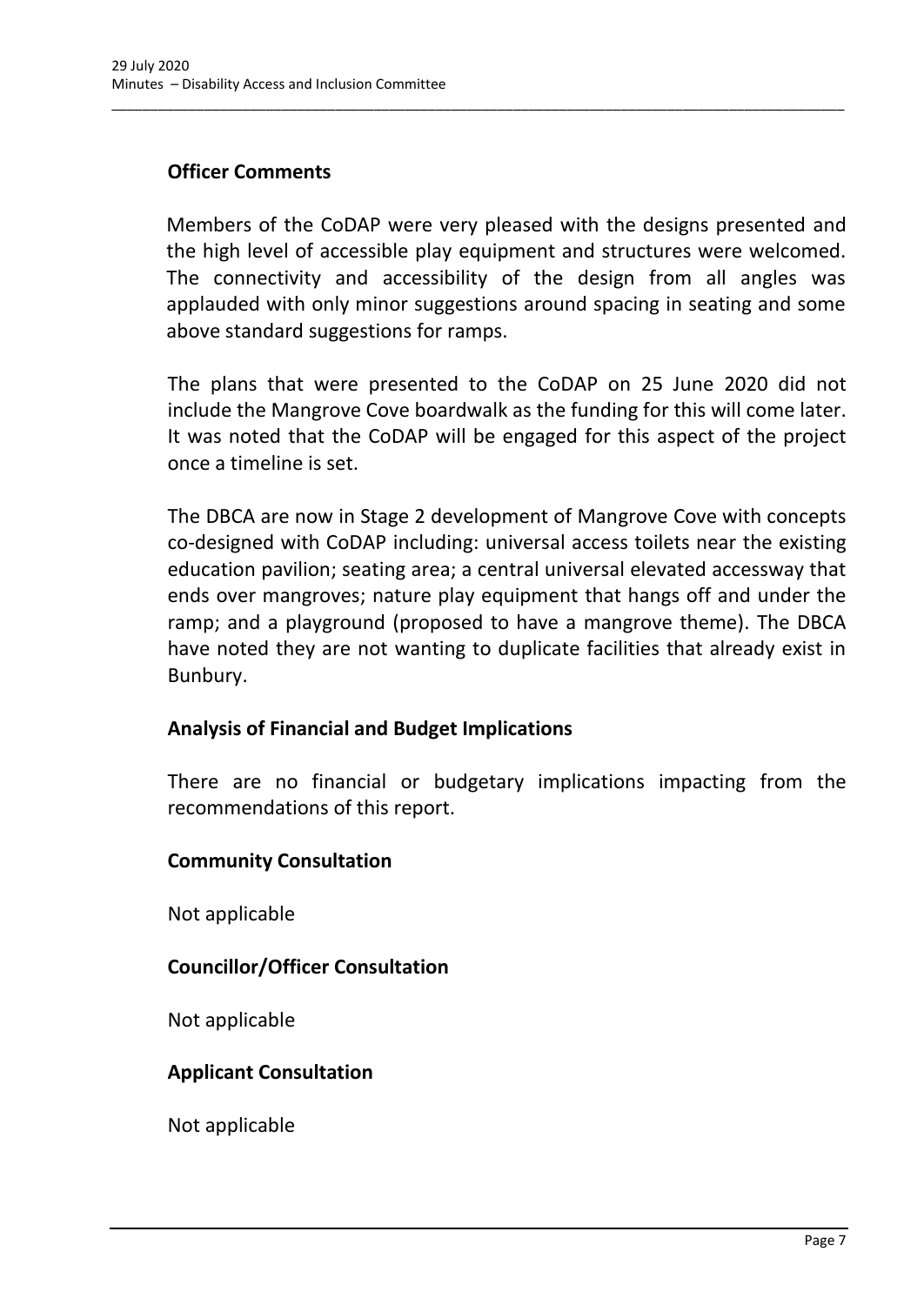## **Officer Comments**

Members of the CoDAP were very pleased with the designs presented and the high level of accessible play equipment and structures were welcomed. The connectivity and accessibility of the design from all angles was applauded with only minor suggestions around spacing in seating and some above standard suggestions for ramps.

\_\_\_\_\_\_\_\_\_\_\_\_\_\_\_\_\_\_\_\_\_\_\_\_\_\_\_\_\_\_\_\_\_\_\_\_\_\_\_\_\_\_\_\_\_\_\_\_\_\_\_\_\_\_\_\_\_\_\_\_\_\_\_\_\_\_\_\_\_\_\_\_\_\_\_\_\_\_\_\_\_\_\_\_\_\_\_\_\_\_\_\_\_\_\_

The plans that were presented to the CoDAP on 25 June 2020 did not include the Mangrove Cove boardwalk as the funding for this will come later. It was noted that the CoDAP will be engaged for this aspect of the project once a timeline is set.

The DBCA are now in Stage 2 development of Mangrove Cove with concepts co-designed with CoDAP including: universal access toilets near the existing education pavilion; seating area; a central universal elevated accessway that ends over mangroves; nature play equipment that hangs off and under the ramp; and a playground (proposed to have a mangrove theme). The DBCA have noted they are not wanting to duplicate facilities that already exist in Bunbury.

## **Analysis of Financial and Budget Implications**

There are no financial or budgetary implications impacting from the recommendations of this report.

## **Community Consultation**

Not applicable

## **Councillor/Officer Consultation**

Not applicable

## **Applicant Consultation**

Not applicable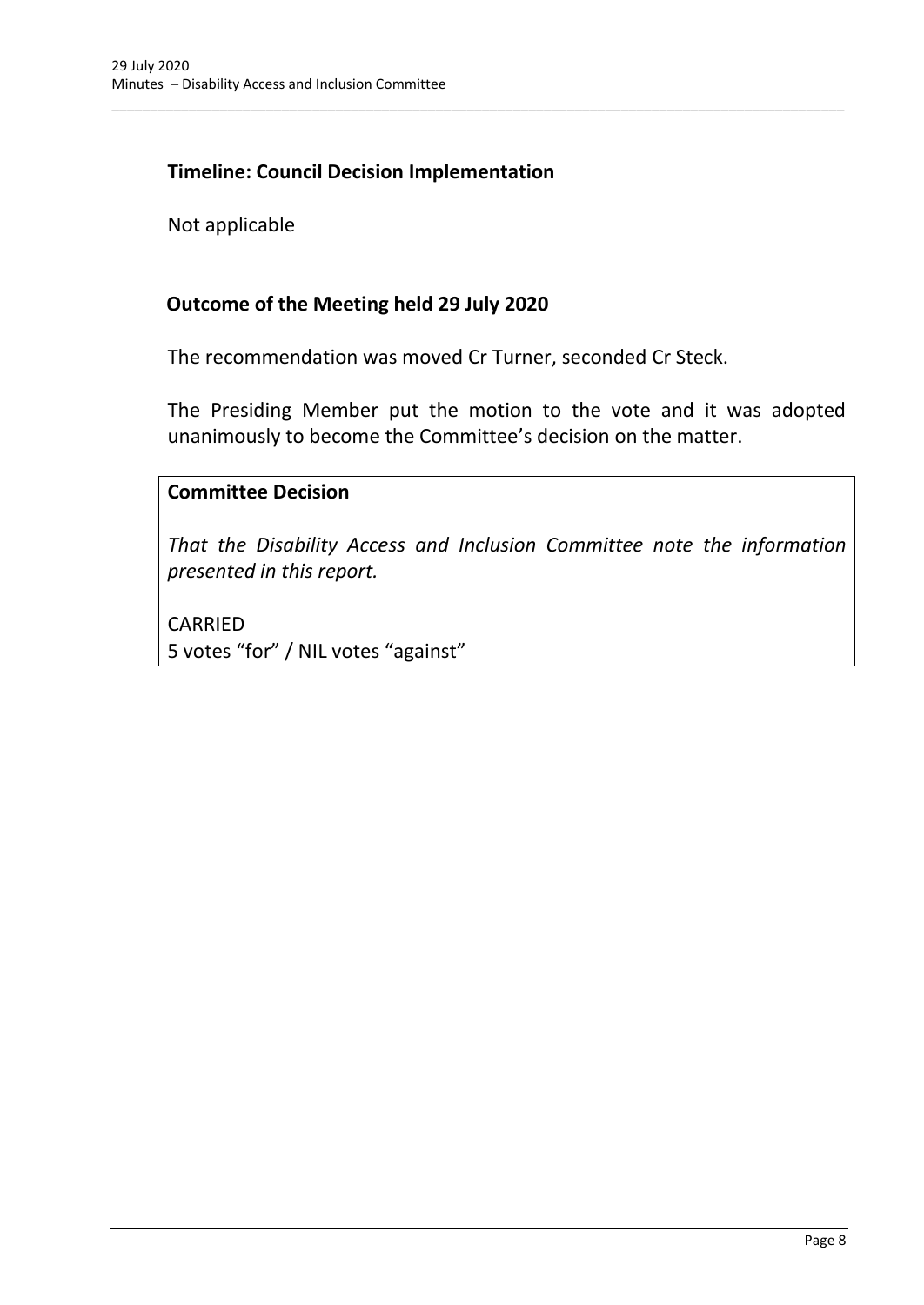### **Timeline: Council Decision Implementation**

Not applicable

#### **Outcome of the Meeting held 29 July 2020**

The recommendation was moved Cr Turner, seconded Cr Steck.

\_\_\_\_\_\_\_\_\_\_\_\_\_\_\_\_\_\_\_\_\_\_\_\_\_\_\_\_\_\_\_\_\_\_\_\_\_\_\_\_\_\_\_\_\_\_\_\_\_\_\_\_\_\_\_\_\_\_\_\_\_\_\_\_\_\_\_\_\_\_\_\_\_\_\_\_\_\_\_\_\_\_\_\_\_\_\_\_\_\_\_\_\_\_\_

The Presiding Member put the motion to the vote and it was adopted unanimously to become the Committee's decision on the matter.

#### **Committee Decision**

*That the Disability Access and Inclusion Committee note the information presented in this report.*

CARRIED 5 votes "for" / NIL votes "against"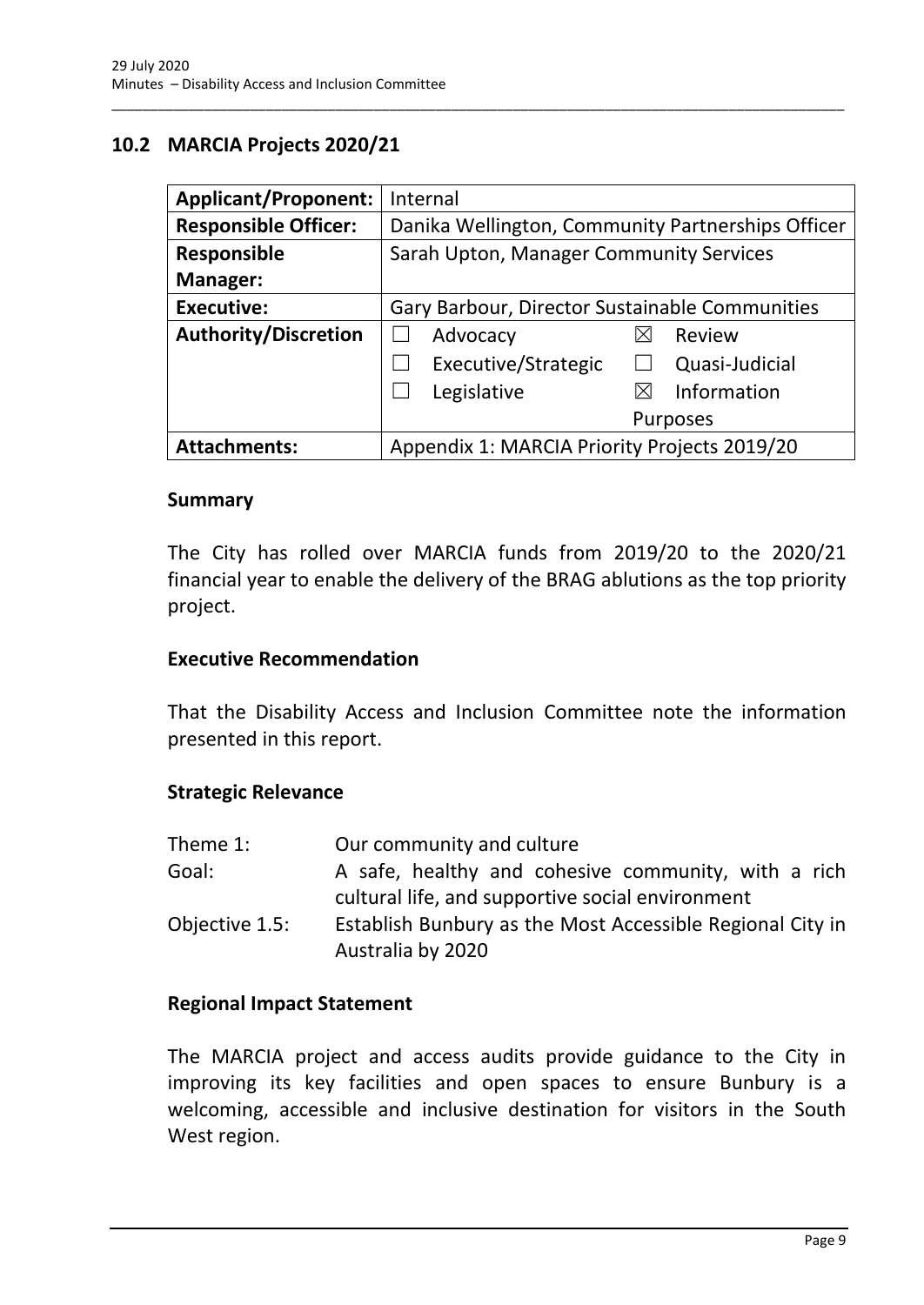## <span id="page-11-0"></span>**10.2 MARCIA Projects 2020/21**

| <b>Applicant/Proponent:</b> | Internal                                          |
|-----------------------------|---------------------------------------------------|
| <b>Responsible Officer:</b> | Danika Wellington, Community Partnerships Officer |
| <b>Responsible</b>          | Sarah Upton, Manager Community Services           |
| Manager:                    |                                                   |
| <b>Executive:</b>           | Gary Barbour, Director Sustainable Communities    |
| <b>Authority/Discretion</b> | Advocacy<br>Review                                |
|                             | Executive/Strategic<br>Quasi-Judicial             |
|                             | Information<br>Legislative<br>$\boxtimes$         |
|                             | <b>Purposes</b>                                   |
| <b>Attachments:</b>         | Appendix 1: MARCIA Priority Projects 2019/20      |

\_\_\_\_\_\_\_\_\_\_\_\_\_\_\_\_\_\_\_\_\_\_\_\_\_\_\_\_\_\_\_\_\_\_\_\_\_\_\_\_\_\_\_\_\_\_\_\_\_\_\_\_\_\_\_\_\_\_\_\_\_\_\_\_\_\_\_\_\_\_\_\_\_\_\_\_\_\_\_\_\_\_\_\_\_\_\_\_\_\_\_\_\_\_\_

#### **Summary**

The City has rolled over MARCIA funds from 2019/20 to the 2020/21 financial year to enable the delivery of the BRAG ablutions as the top priority project.

#### **Executive Recommendation**

That the Disability Access and Inclusion Committee note the information presented in this report.

#### **Strategic Relevance**

| Theme 1:       | Our community and culture                                                                               |
|----------------|---------------------------------------------------------------------------------------------------------|
| Goal:          | A safe, healthy and cohesive community, with a rich<br>cultural life, and supportive social environment |
| Objective 1.5: | Establish Bunbury as the Most Accessible Regional City in<br>Australia by 2020                          |

#### **Regional Impact Statement**

The MARCIA project and access audits provide guidance to the City in improving its key facilities and open spaces to ensure Bunbury is a welcoming, accessible and inclusive destination for visitors in the South West region.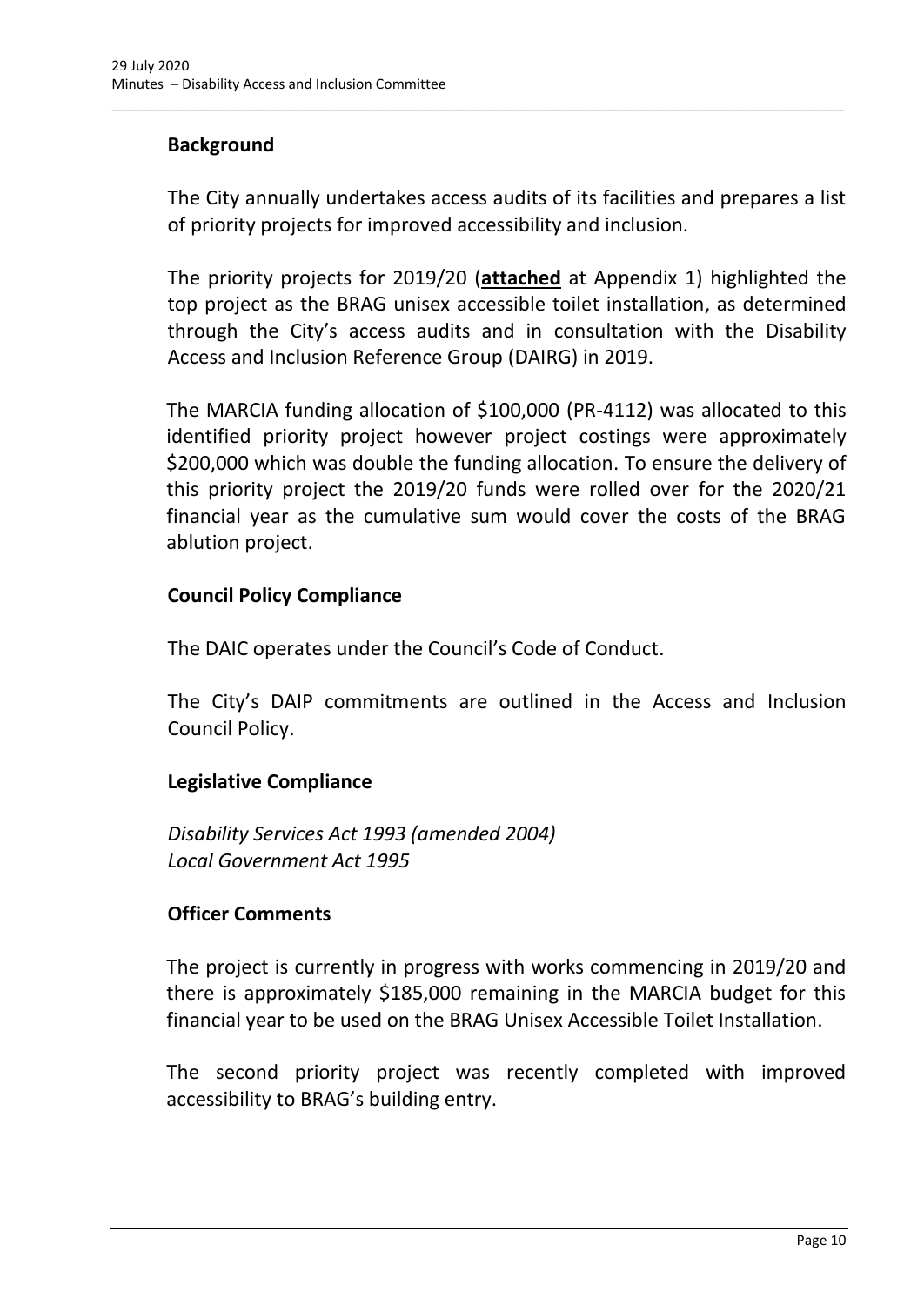## **Background**

The City annually undertakes access audits of its facilities and prepares a list of priority projects for improved accessibility and inclusion.

\_\_\_\_\_\_\_\_\_\_\_\_\_\_\_\_\_\_\_\_\_\_\_\_\_\_\_\_\_\_\_\_\_\_\_\_\_\_\_\_\_\_\_\_\_\_\_\_\_\_\_\_\_\_\_\_\_\_\_\_\_\_\_\_\_\_\_\_\_\_\_\_\_\_\_\_\_\_\_\_\_\_\_\_\_\_\_\_\_\_\_\_\_\_\_

The priority projects for 2019/20 (**attached** at Appendix 1) highlighted the top project as the BRAG unisex accessible toilet installation, as determined through the City's access audits and in consultation with the Disability Access and Inclusion Reference Group (DAIRG) in 2019.

The MARCIA funding allocation of \$100,000 (PR-4112) was allocated to this identified priority project however project costings were approximately \$200,000 which was double the funding allocation. To ensure the delivery of this priority project the 2019/20 funds were rolled over for the 2020/21 financial year as the cumulative sum would cover the costs of the BRAG ablution project.

#### **Council Policy Compliance**

The DAIC operates under the Council's Code of Conduct.

The City's DAIP commitments are outlined in the Access and Inclusion Council Policy.

## **Legislative Compliance**

*Disability Services Act 1993 (amended 2004) Local Government Act 1995*

## **Officer Comments**

The project is currently in progress with works commencing in 2019/20 and there is approximately \$185,000 remaining in the MARCIA budget for this financial year to be used on the BRAG Unisex Accessible Toilet Installation.

The second priority project was recently completed with improved accessibility to BRAG's building entry.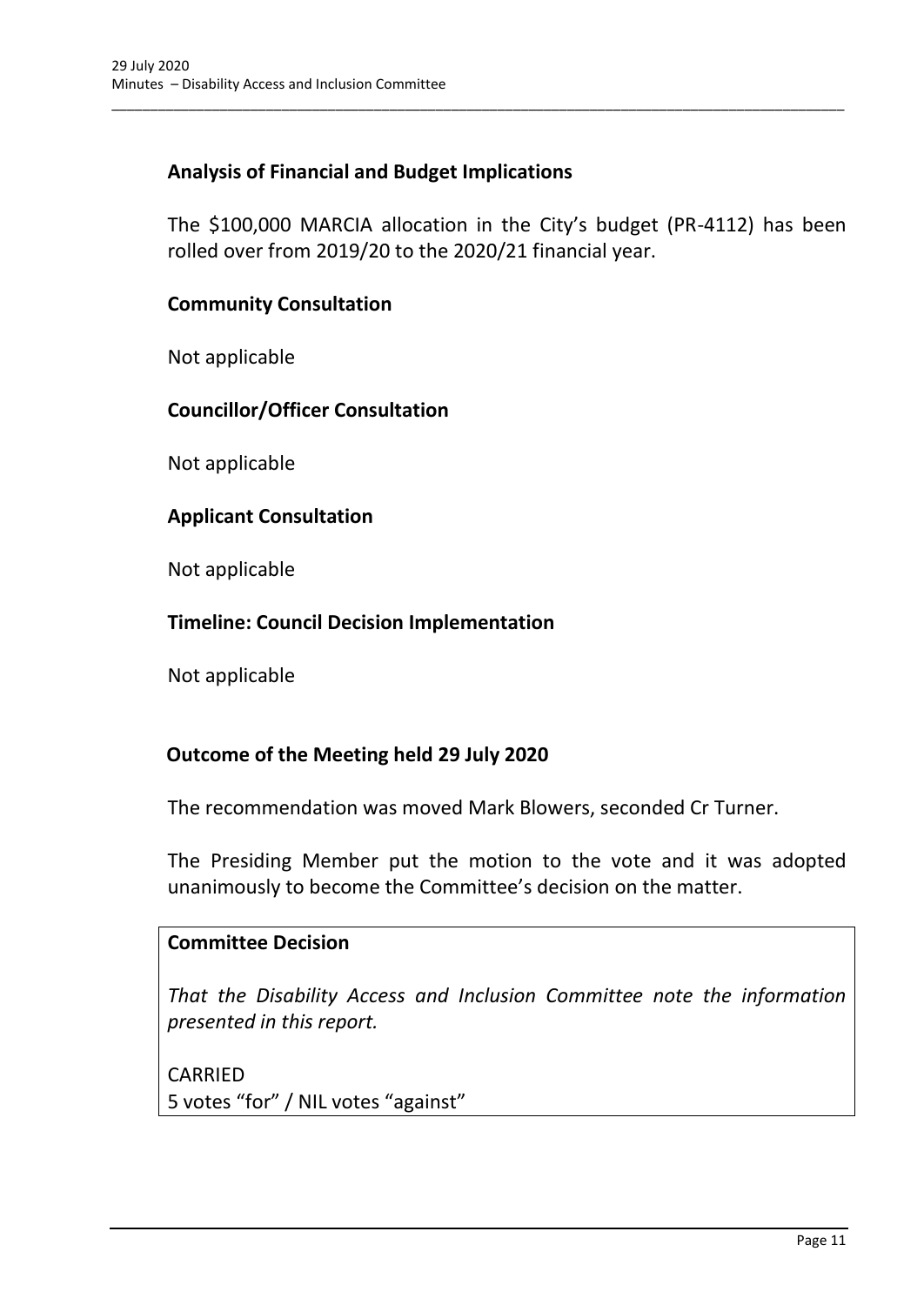## **Analysis of Financial and Budget Implications**

The \$100,000 MARCIA allocation in the City's budget (PR-4112) has been rolled over from 2019/20 to the 2020/21 financial year.

\_\_\_\_\_\_\_\_\_\_\_\_\_\_\_\_\_\_\_\_\_\_\_\_\_\_\_\_\_\_\_\_\_\_\_\_\_\_\_\_\_\_\_\_\_\_\_\_\_\_\_\_\_\_\_\_\_\_\_\_\_\_\_\_\_\_\_\_\_\_\_\_\_\_\_\_\_\_\_\_\_\_\_\_\_\_\_\_\_\_\_\_\_\_\_

#### **Community Consultation**

Not applicable

#### **Councillor/Officer Consultation**

Not applicable

#### **Applicant Consultation**

Not applicable

#### **Timeline: Council Decision Implementation**

Not applicable

## **Outcome of the Meeting held 29 July 2020**

The recommendation was moved Mark Blowers, seconded Cr Turner.

The Presiding Member put the motion to the vote and it was adopted unanimously to become the Committee's decision on the matter.

#### **Committee Decision**

*That the Disability Access and Inclusion Committee note the information presented in this report.*

CARRIED 5 votes "for" / NIL votes "against"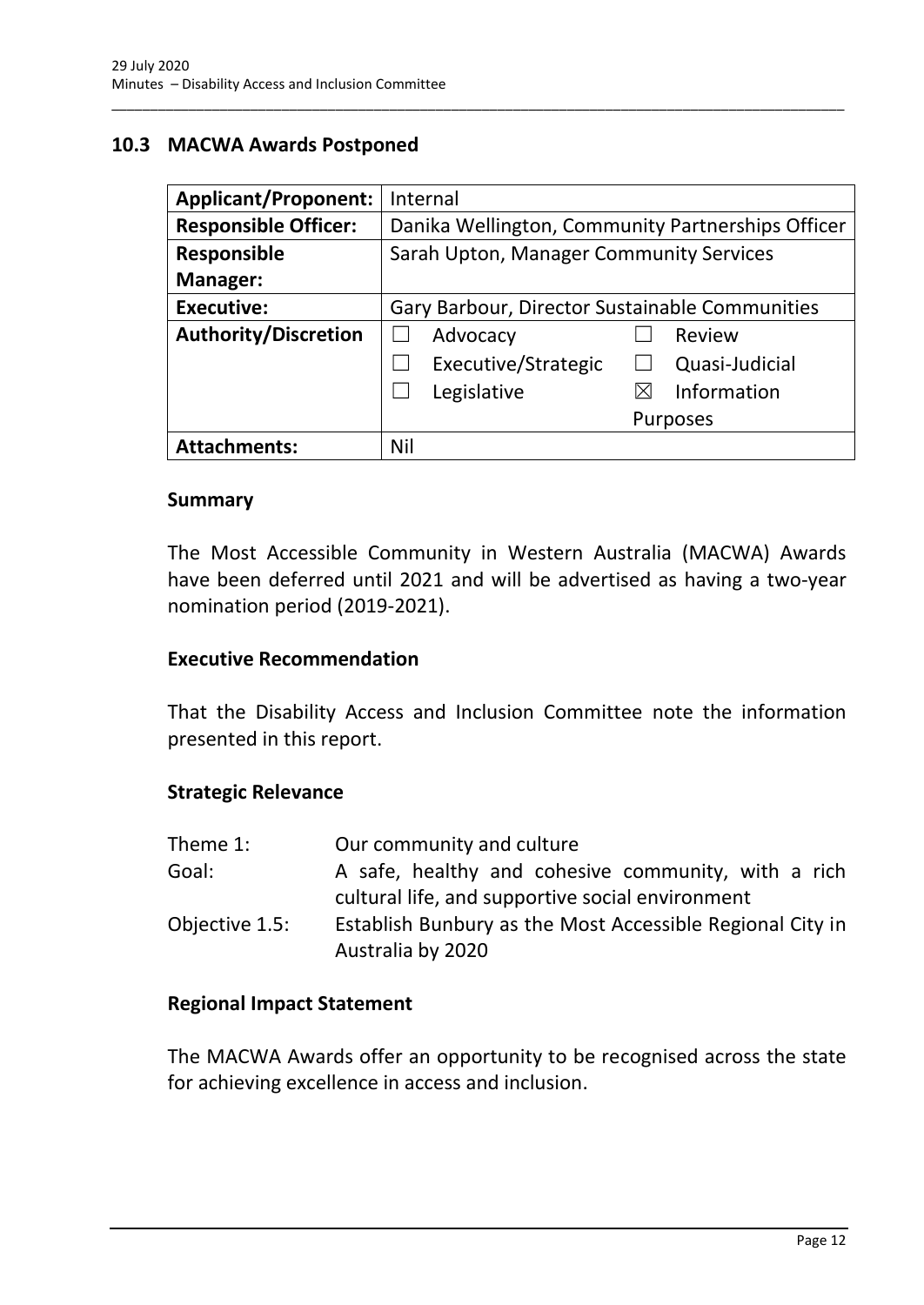## <span id="page-14-0"></span>**10.3 MACWA Awards Postponed**

| <b>Applicant/Proponent:</b> | Internal                                          |
|-----------------------------|---------------------------------------------------|
| <b>Responsible Officer:</b> | Danika Wellington, Community Partnerships Officer |
| <b>Responsible</b>          | Sarah Upton, Manager Community Services           |
| Manager:                    |                                                   |
| <b>Executive:</b>           | Gary Barbour, Director Sustainable Communities    |
| <b>Authority/Discretion</b> | Advocacy<br>Review                                |
|                             | Executive/Strategic<br>Quasi-Judicial             |
|                             | Information<br>Legislative<br>⋉                   |
|                             | <b>Purposes</b>                                   |
| <b>Attachments:</b>         | Nil                                               |

\_\_\_\_\_\_\_\_\_\_\_\_\_\_\_\_\_\_\_\_\_\_\_\_\_\_\_\_\_\_\_\_\_\_\_\_\_\_\_\_\_\_\_\_\_\_\_\_\_\_\_\_\_\_\_\_\_\_\_\_\_\_\_\_\_\_\_\_\_\_\_\_\_\_\_\_\_\_\_\_\_\_\_\_\_\_\_\_\_\_\_\_\_\_\_

#### **Summary**

The Most Accessible Community in Western Australia (MACWA) Awards have been deferred until 2021 and will be advertised as having a two-year nomination period (2019-2021).

#### **Executive Recommendation**

That the Disability Access and Inclusion Committee note the information presented in this report.

#### **Strategic Relevance**

| Theme 1:       | Our community and culture                                                                               |
|----------------|---------------------------------------------------------------------------------------------------------|
| Goal:          | A safe, healthy and cohesive community, with a rich<br>cultural life, and supportive social environment |
| Objective 1.5: | Establish Bunbury as the Most Accessible Regional City in<br>Australia by 2020                          |

#### **Regional Impact Statement**

The MACWA Awards offer an opportunity to be recognised across the state for achieving excellence in access and inclusion.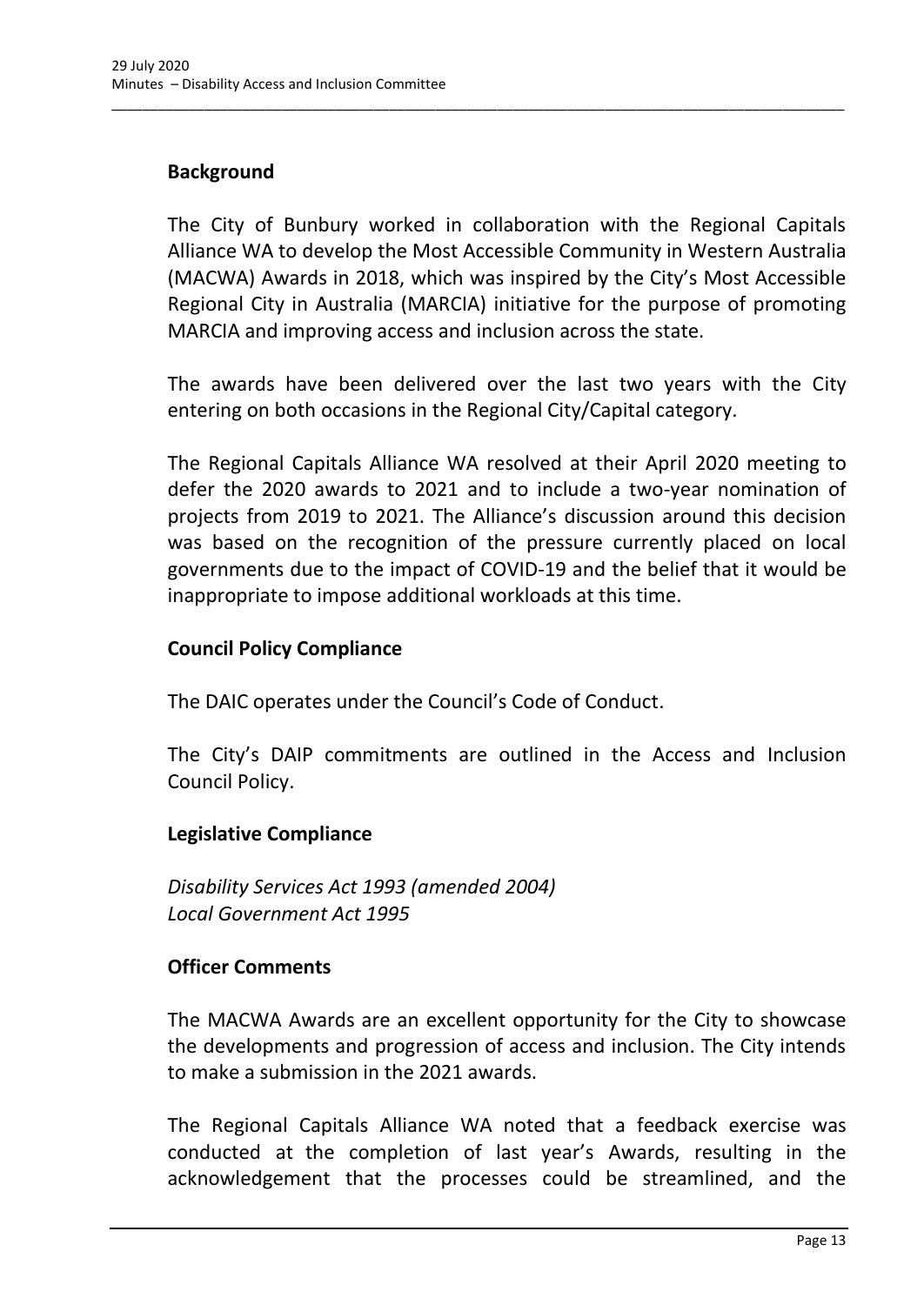## **Background**

The City of Bunbury worked in collaboration with the Regional Capitals Alliance WA to develop the Most Accessible Community in Western Australia (MACWA) Awards in 2018, which was inspired by the City's Most Accessible Regional City in Australia (MARCIA) initiative for the purpose of promoting MARCIA and improving access and inclusion across the state.

\_\_\_\_\_\_\_\_\_\_\_\_\_\_\_\_\_\_\_\_\_\_\_\_\_\_\_\_\_\_\_\_\_\_\_\_\_\_\_\_\_\_\_\_\_\_\_\_\_\_\_\_\_\_\_\_\_\_\_\_\_\_\_\_\_\_\_\_\_\_\_\_\_\_\_\_\_\_\_\_\_\_\_\_\_\_\_\_\_\_\_\_\_\_\_

The awards have been delivered over the last two years with the City entering on both occasions in the Regional City/Capital category.

The Regional Capitals Alliance WA resolved at their April 2020 meeting to defer the 2020 awards to 2021 and to include a two-year nomination of projects from 2019 to 2021. The Alliance's discussion around this decision was based on the recognition of the pressure currently placed on local governments due to the impact of COVID-19 and the belief that it would be inappropriate to impose additional workloads at this time.

## **Council Policy Compliance**

The DAIC operates under the Council's Code of Conduct.

The City's DAIP commitments are outlined in the Access and Inclusion Council Policy.

#### **Legislative Compliance**

*Disability Services Act 1993 (amended 2004) Local Government Act 1995*

## **Officer Comments**

The MACWA Awards are an excellent opportunity for the City to showcase the developments and progression of access and inclusion. The City intends to make a submission in the 2021 awards.

The Regional Capitals Alliance WA noted that a feedback exercise was conducted at the completion of last year's Awards, resulting in the acknowledgement that the processes could be streamlined, and the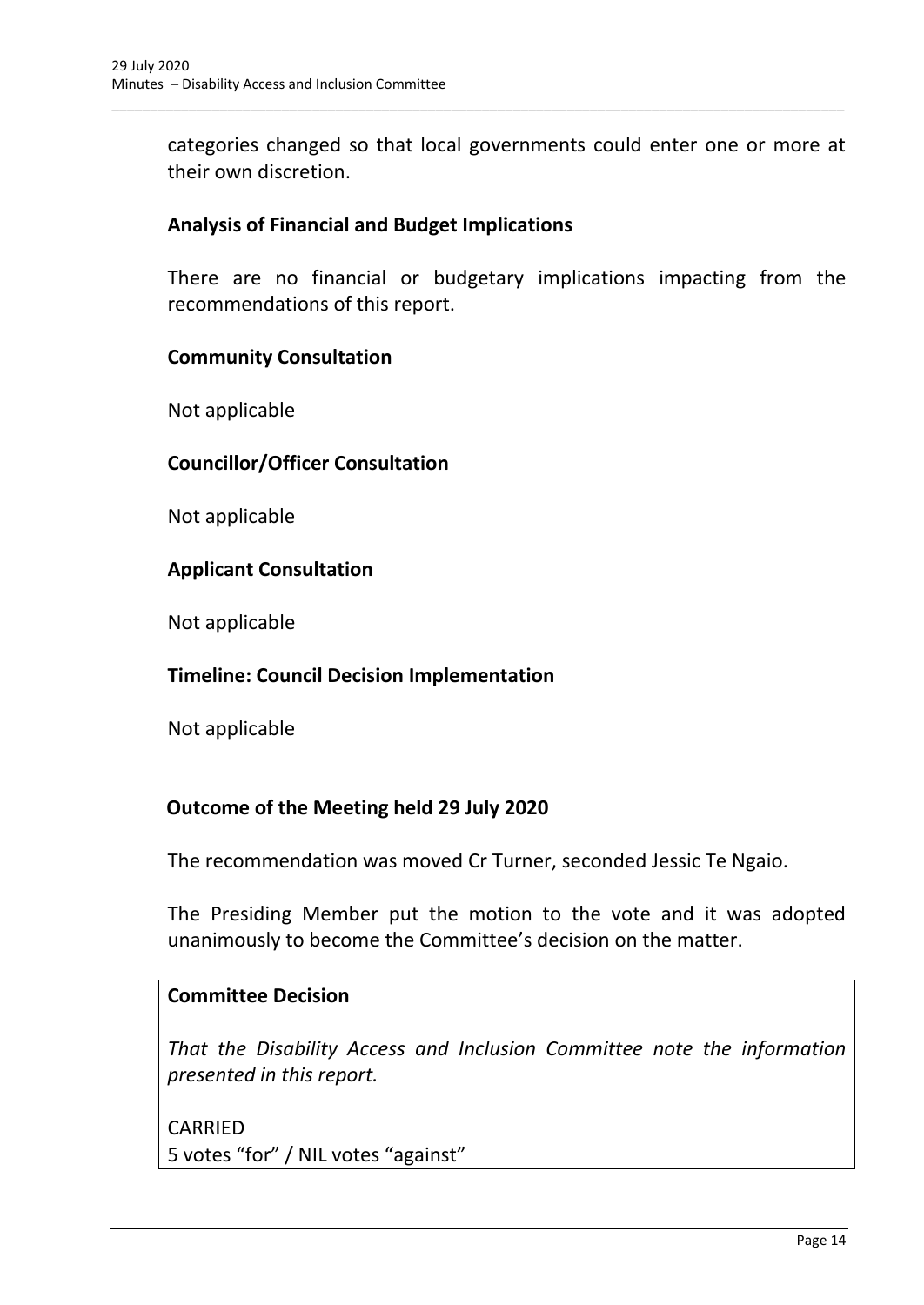categories changed so that local governments could enter one or more at their own discretion.

\_\_\_\_\_\_\_\_\_\_\_\_\_\_\_\_\_\_\_\_\_\_\_\_\_\_\_\_\_\_\_\_\_\_\_\_\_\_\_\_\_\_\_\_\_\_\_\_\_\_\_\_\_\_\_\_\_\_\_\_\_\_\_\_\_\_\_\_\_\_\_\_\_\_\_\_\_\_\_\_\_\_\_\_\_\_\_\_\_\_\_\_\_\_\_

## **Analysis of Financial and Budget Implications**

There are no financial or budgetary implications impacting from the recommendations of this report.

#### **Community Consultation**

Not applicable

#### **Councillor/Officer Consultation**

Not applicable

#### **Applicant Consultation**

Not applicable

#### **Timeline: Council Decision Implementation**

Not applicable

## **Outcome of the Meeting held 29 July 2020**

The recommendation was moved Cr Turner, seconded Jessic Te Ngaio.

The Presiding Member put the motion to the vote and it was adopted unanimously to become the Committee's decision on the matter.

#### **Committee Decision**

*That the Disability Access and Inclusion Committee note the information presented in this report.*

CARRIED 5 votes "for" / NIL votes "against"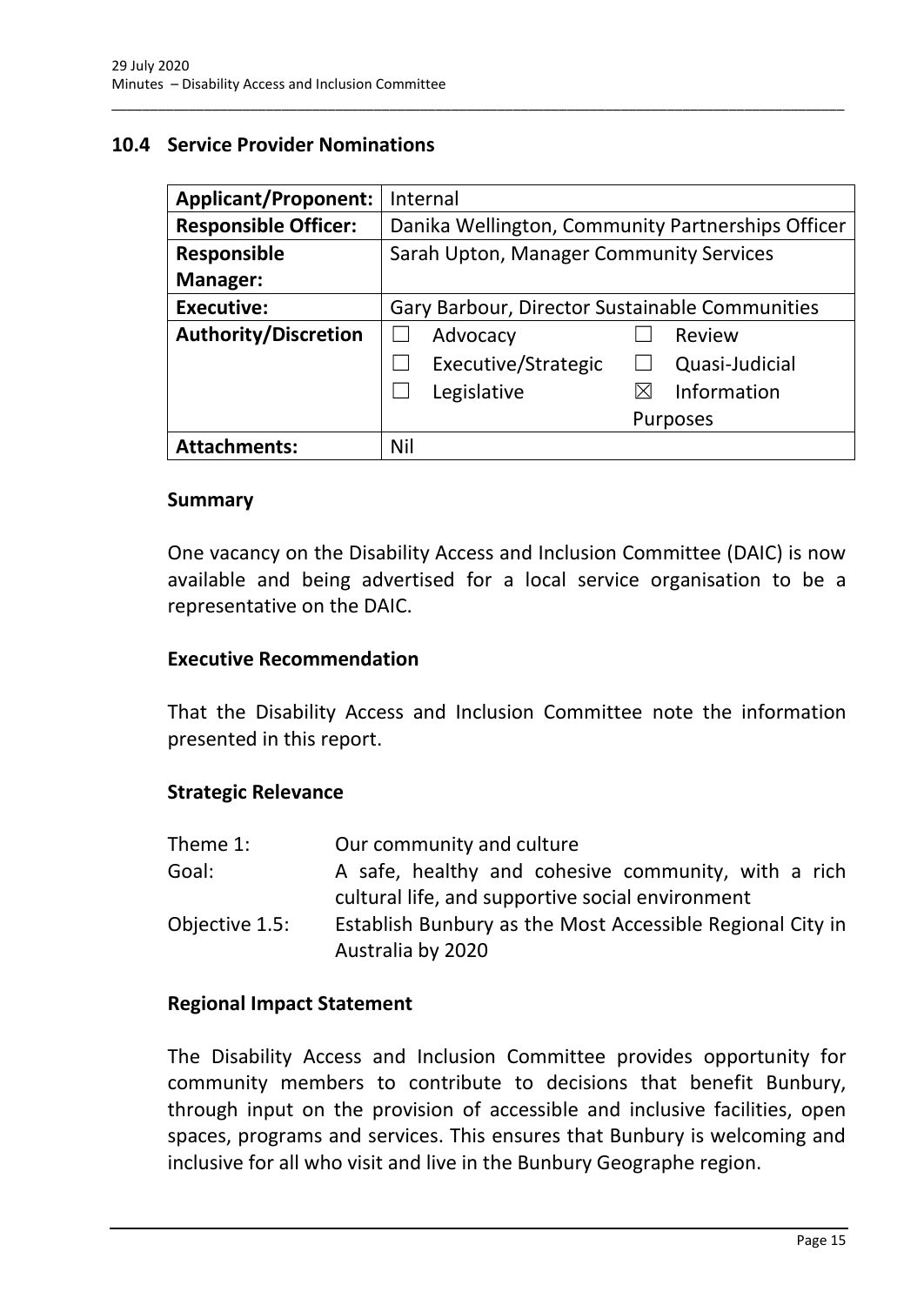### <span id="page-17-0"></span>**10.4 Service Provider Nominations**

| <b>Applicant/Proponent:</b> | Internal                                          |  |
|-----------------------------|---------------------------------------------------|--|
| <b>Responsible Officer:</b> | Danika Wellington, Community Partnerships Officer |  |
| <b>Responsible</b>          | Sarah Upton, Manager Community Services           |  |
| Manager:                    |                                                   |  |
| <b>Executive:</b>           | Gary Barbour, Director Sustainable Communities    |  |
| <b>Authority/Discretion</b> | Advocacy<br>Review                                |  |
|                             | Executive/Strategic<br>Quasi-Judicial             |  |
|                             | Information<br>Legislative                        |  |
|                             | <b>Purposes</b>                                   |  |
| <b>Attachments:</b>         | Nil                                               |  |

\_\_\_\_\_\_\_\_\_\_\_\_\_\_\_\_\_\_\_\_\_\_\_\_\_\_\_\_\_\_\_\_\_\_\_\_\_\_\_\_\_\_\_\_\_\_\_\_\_\_\_\_\_\_\_\_\_\_\_\_\_\_\_\_\_\_\_\_\_\_\_\_\_\_\_\_\_\_\_\_\_\_\_\_\_\_\_\_\_\_\_\_\_\_\_

#### **Summary**

One vacancy on the Disability Access and Inclusion Committee (DAIC) is now available and being advertised for a local service organisation to be a representative on the DAIC.

#### **Executive Recommendation**

That the Disability Access and Inclusion Committee note the information presented in this report.

#### **Strategic Relevance**

| Theme 1:       | Our community and culture                                                                               |
|----------------|---------------------------------------------------------------------------------------------------------|
| Goal:          | A safe, healthy and cohesive community, with a rich<br>cultural life, and supportive social environment |
| Objective 1.5: | Establish Bunbury as the Most Accessible Regional City in<br>Australia by 2020                          |

#### **Regional Impact Statement**

The Disability Access and Inclusion Committee provides opportunity for community members to contribute to decisions that benefit Bunbury, through input on the provision of accessible and inclusive facilities, open spaces, programs and services. This ensures that Bunbury is welcoming and inclusive for all who visit and live in the Bunbury Geographe region.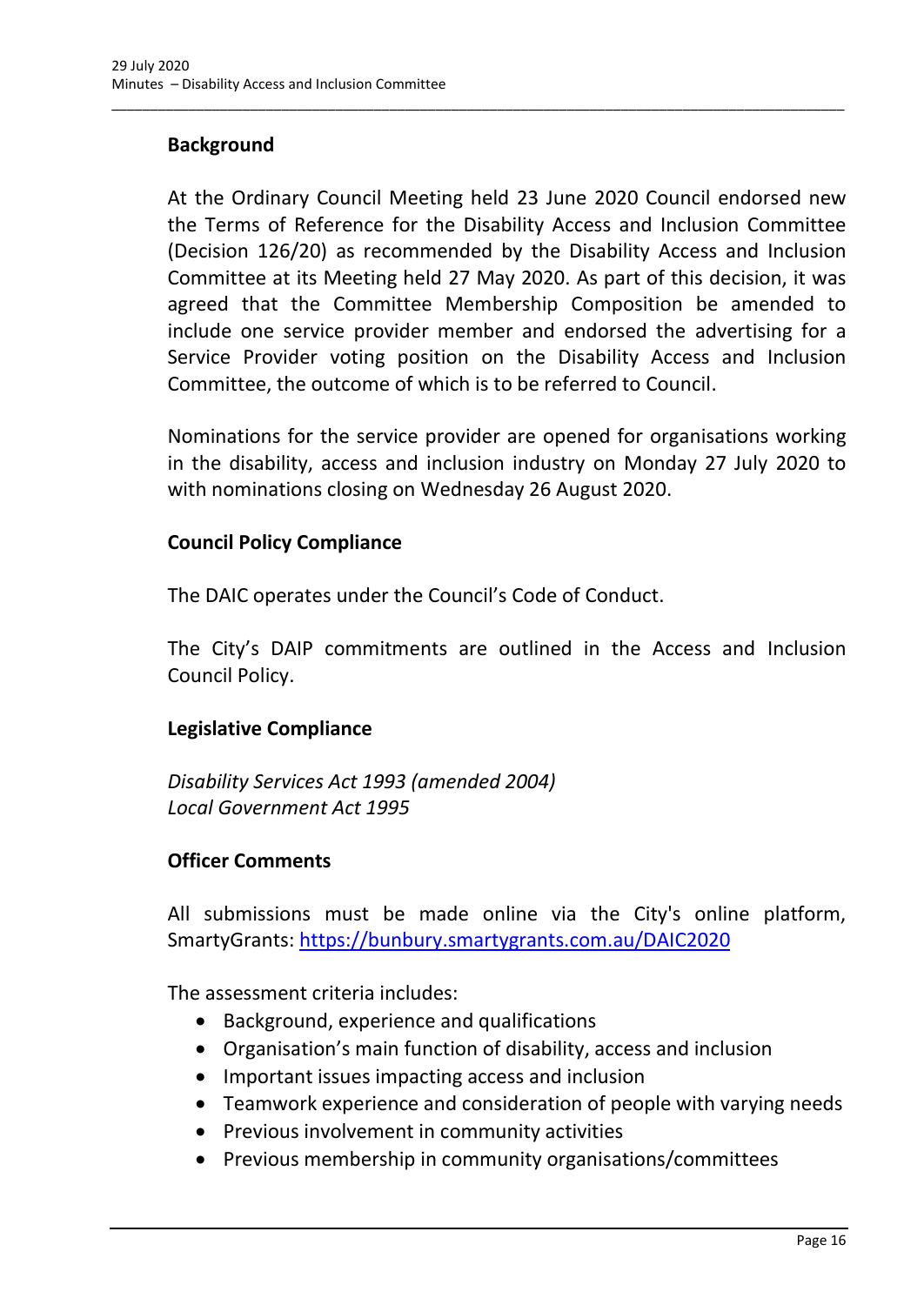## **Background**

At the Ordinary Council Meeting held 23 June 2020 Council endorsed new the Terms of Reference for the Disability Access and Inclusion Committee (Decision 126/20) as recommended by the Disability Access and Inclusion Committee at its Meeting held 27 May 2020. As part of this decision, it was agreed that the Committee Membership Composition be amended to include one service provider member and endorsed the advertising for a Service Provider voting position on the Disability Access and Inclusion Committee, the outcome of which is to be referred to Council.

\_\_\_\_\_\_\_\_\_\_\_\_\_\_\_\_\_\_\_\_\_\_\_\_\_\_\_\_\_\_\_\_\_\_\_\_\_\_\_\_\_\_\_\_\_\_\_\_\_\_\_\_\_\_\_\_\_\_\_\_\_\_\_\_\_\_\_\_\_\_\_\_\_\_\_\_\_\_\_\_\_\_\_\_\_\_\_\_\_\_\_\_\_\_\_

Nominations for the service provider are opened for organisations working in the disability, access and inclusion industry on Monday 27 July 2020 to with nominations closing on Wednesday 26 August 2020.

#### **Council Policy Compliance**

The DAIC operates under the Council's Code of Conduct.

The City's DAIP commitments are outlined in the Access and Inclusion Council Policy.

## **Legislative Compliance**

*Disability Services Act 1993 (amended 2004) Local Government Act 1995*

## **Officer Comments**

All submissions must be made online via the City's online platform, SmartyGrants:<https://bunbury.smartygrants.com.au/DAIC2020>

The assessment criteria includes:

- Background, experience and qualifications
- Organisation's main function of disability, access and inclusion
- Important issues impacting access and inclusion
- Teamwork experience and consideration of people with varying needs
- Previous involvement in community activities
- Previous membership in community organisations/committees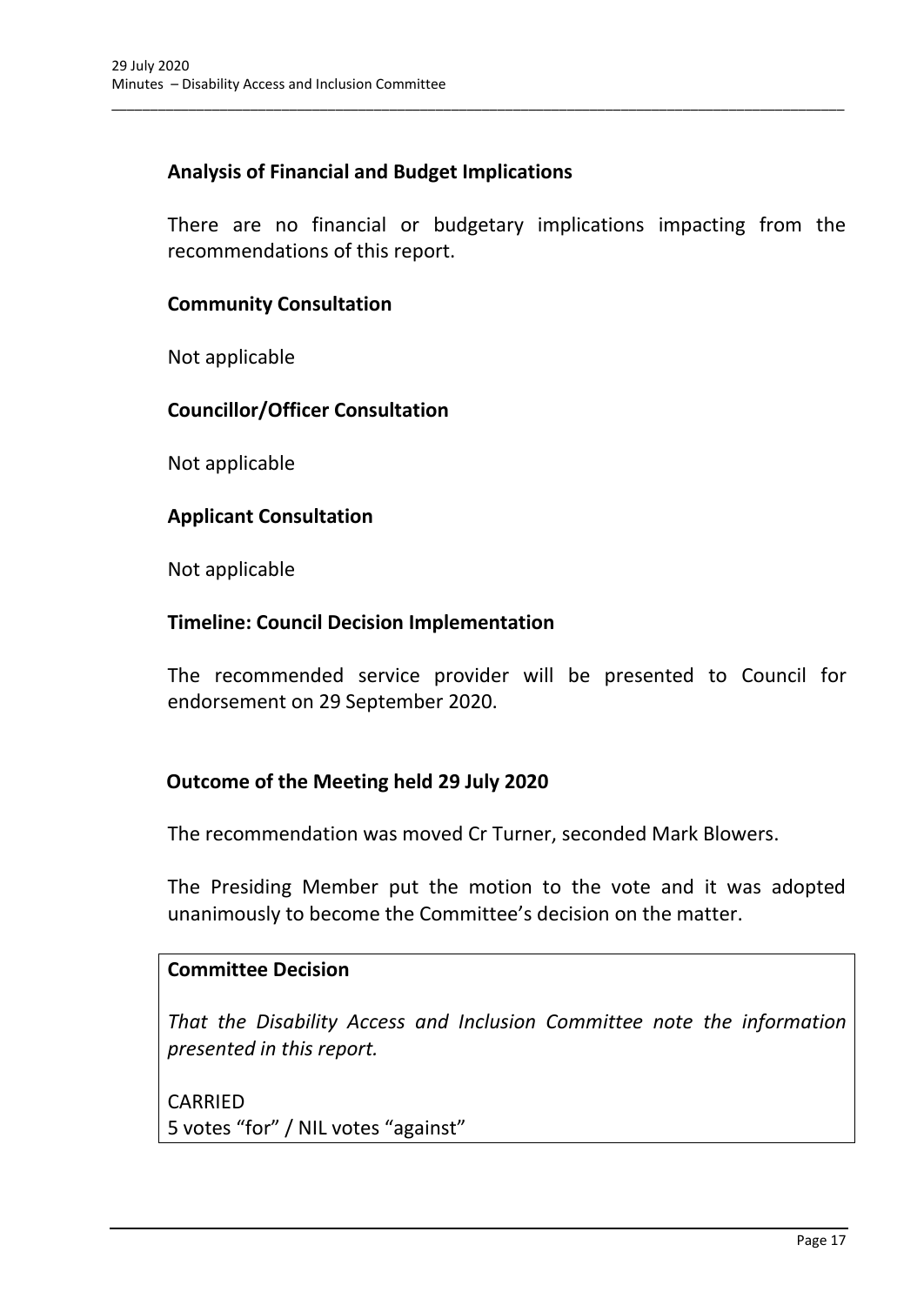## **Analysis of Financial and Budget Implications**

There are no financial or budgetary implications impacting from the recommendations of this report.

\_\_\_\_\_\_\_\_\_\_\_\_\_\_\_\_\_\_\_\_\_\_\_\_\_\_\_\_\_\_\_\_\_\_\_\_\_\_\_\_\_\_\_\_\_\_\_\_\_\_\_\_\_\_\_\_\_\_\_\_\_\_\_\_\_\_\_\_\_\_\_\_\_\_\_\_\_\_\_\_\_\_\_\_\_\_\_\_\_\_\_\_\_\_\_

#### **Community Consultation**

Not applicable

#### **Councillor/Officer Consultation**

Not applicable

#### **Applicant Consultation**

Not applicable

#### **Timeline: Council Decision Implementation**

The recommended service provider will be presented to Council for endorsement on 29 September 2020.

#### **Outcome of the Meeting held 29 July 2020**

The recommendation was moved Cr Turner, seconded Mark Blowers.

The Presiding Member put the motion to the vote and it was adopted unanimously to become the Committee's decision on the matter.

#### **Committee Decision**

*That the Disability Access and Inclusion Committee note the information presented in this report.*

CARRIED 5 votes "for" / NIL votes "against"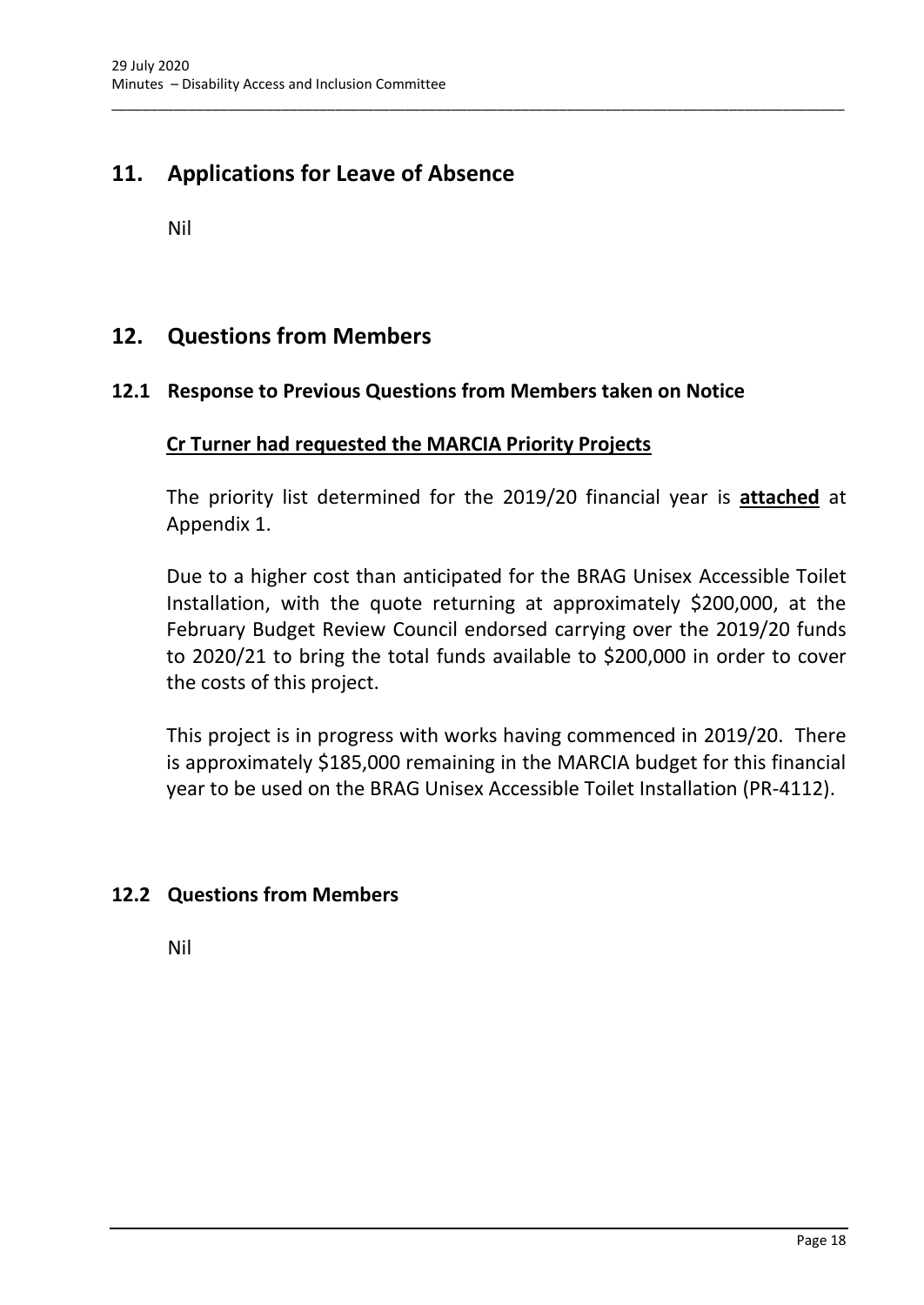## <span id="page-20-0"></span>**11. Applications for Leave of Absence**

Nil

## <span id="page-20-1"></span>**12. Questions from Members**

## <span id="page-20-2"></span>**12.1 Response to Previous Questions from Members taken on Notice**

\_\_\_\_\_\_\_\_\_\_\_\_\_\_\_\_\_\_\_\_\_\_\_\_\_\_\_\_\_\_\_\_\_\_\_\_\_\_\_\_\_\_\_\_\_\_\_\_\_\_\_\_\_\_\_\_\_\_\_\_\_\_\_\_\_\_\_\_\_\_\_\_\_\_\_\_\_\_\_\_\_\_\_\_\_\_\_\_\_\_\_\_\_\_\_

#### **Cr Turner had requested the MARCIA Priority Projects**

The priority list determined for the 2019/20 financial year is **attached** at Appendix 1.

Due to a higher cost than anticipated for the BRAG Unisex Accessible Toilet Installation, with the quote returning at approximately \$200,000, at the February Budget Review Council endorsed carrying over the 2019/20 funds to 2020/21 to bring the total funds available to \$200,000 in order to cover the costs of this project.

This project is in progress with works having commenced in 2019/20. There is approximately \$185,000 remaining in the MARCIA budget for this financial year to be used on the BRAG Unisex Accessible Toilet Installation (PR-4112).

## <span id="page-20-3"></span>**12.2 Questions from Members**

Nil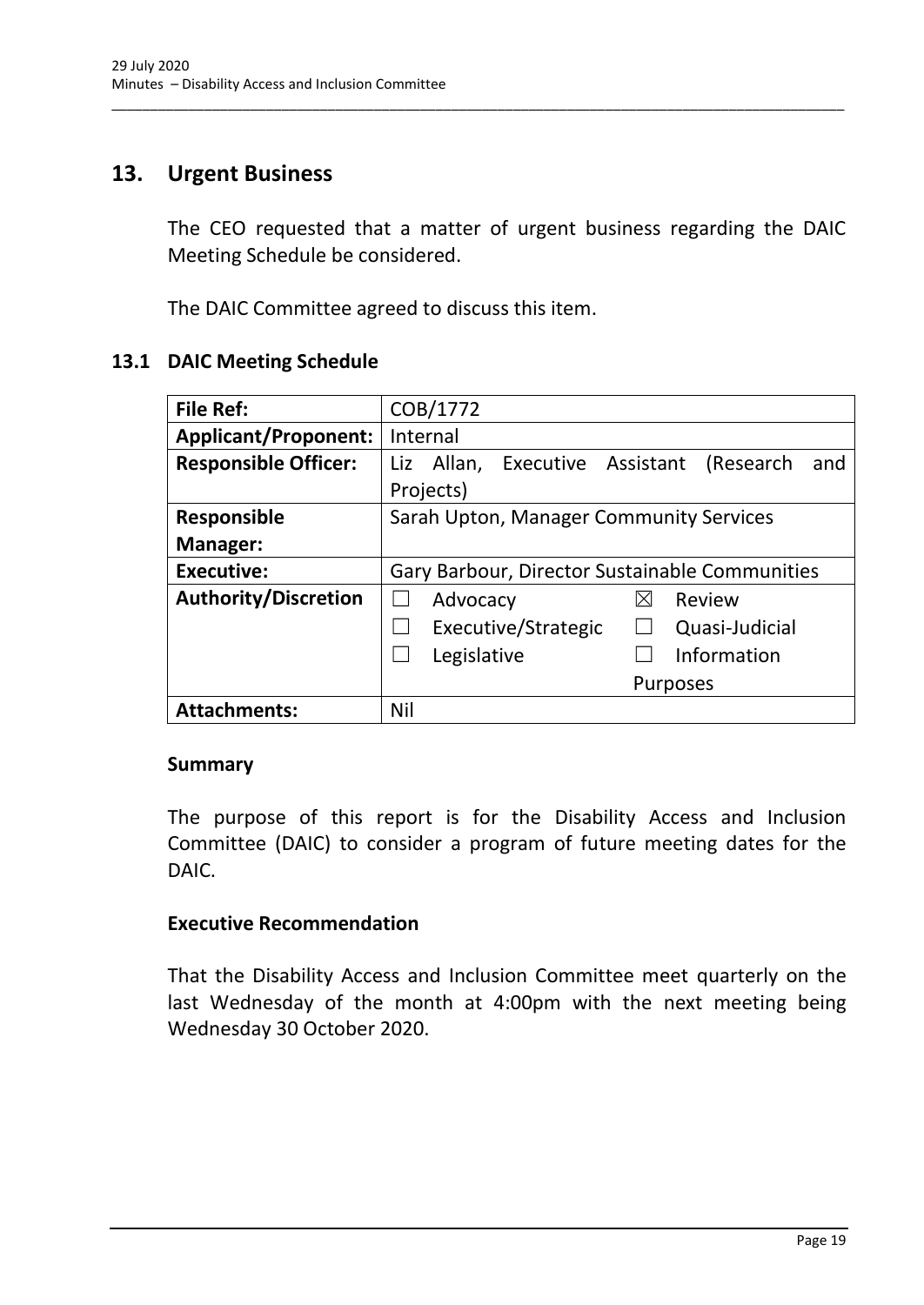## <span id="page-21-0"></span>**13. Urgent Business**

The CEO requested that a matter of urgent business regarding the DAIC Meeting Schedule be considered.

\_\_\_\_\_\_\_\_\_\_\_\_\_\_\_\_\_\_\_\_\_\_\_\_\_\_\_\_\_\_\_\_\_\_\_\_\_\_\_\_\_\_\_\_\_\_\_\_\_\_\_\_\_\_\_\_\_\_\_\_\_\_\_\_\_\_\_\_\_\_\_\_\_\_\_\_\_\_\_\_\_\_\_\_\_\_\_\_\_\_\_\_\_\_\_

The DAIC Committee agreed to discuss this item.

#### **13.1 DAIC Meeting Schedule**

| <b>File Ref:</b>            | COB/1772                                           |  |  |
|-----------------------------|----------------------------------------------------|--|--|
| <b>Applicant/Proponent:</b> | Internal                                           |  |  |
| <b>Responsible Officer:</b> | Liz Allan, Executive Assistant<br>(Research<br>and |  |  |
|                             | Projects)                                          |  |  |
| <b>Responsible</b>          | Sarah Upton, Manager Community Services            |  |  |
| <b>Manager:</b>             |                                                    |  |  |
| <b>Executive:</b>           | Gary Barbour, Director Sustainable Communities     |  |  |
| <b>Authority/Discretion</b> | Advocacy<br>Review<br>⊠                            |  |  |
|                             | Executive/Strategic<br>Quasi-Judicial              |  |  |
|                             | Information<br>Legislative                         |  |  |
|                             | <b>Purposes</b>                                    |  |  |
| <b>Attachments:</b>         | Nil                                                |  |  |

#### **Summary**

The purpose of this report is for the Disability Access and Inclusion Committee (DAIC) to consider a program of future meeting dates for the DAIC.

#### **Executive Recommendation**

That the Disability Access and Inclusion Committee meet quarterly on the last Wednesday of the month at 4:00pm with the next meeting being Wednesday 30 October 2020.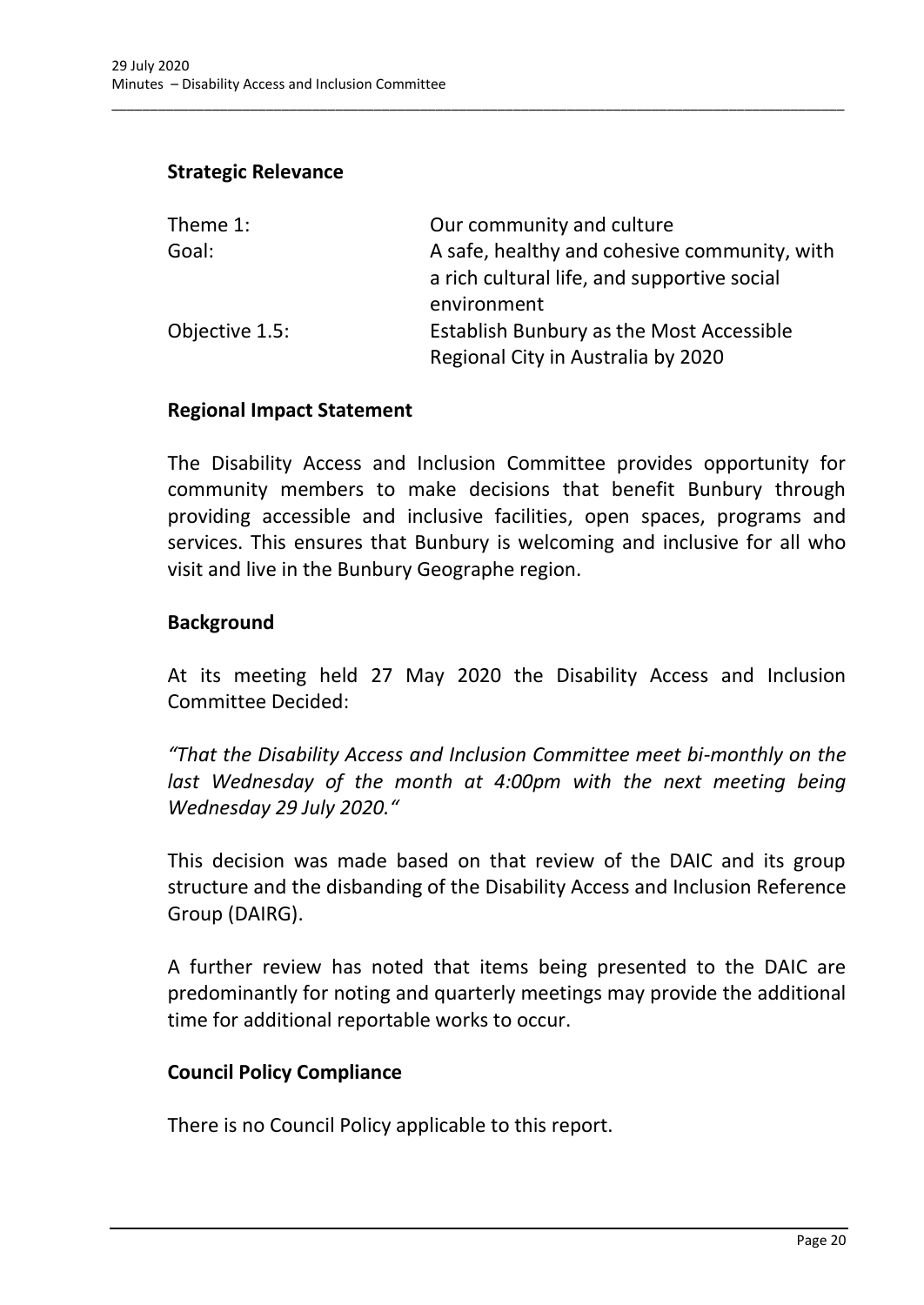#### **Strategic Relevance**

| Theme 1:       | Our community and culture                    |
|----------------|----------------------------------------------|
| Goal:          | A safe, healthy and cohesive community, with |
|                | a rich cultural life, and supportive social  |
|                | environment                                  |
| Objective 1.5: | Establish Bunbury as the Most Accessible     |
|                | Regional City in Australia by 2020           |

\_\_\_\_\_\_\_\_\_\_\_\_\_\_\_\_\_\_\_\_\_\_\_\_\_\_\_\_\_\_\_\_\_\_\_\_\_\_\_\_\_\_\_\_\_\_\_\_\_\_\_\_\_\_\_\_\_\_\_\_\_\_\_\_\_\_\_\_\_\_\_\_\_\_\_\_\_\_\_\_\_\_\_\_\_\_\_\_\_\_\_\_\_\_\_

#### **Regional Impact Statement**

The Disability Access and Inclusion Committee provides opportunity for community members to make decisions that benefit Bunbury through providing accessible and inclusive facilities, open spaces, programs and services. This ensures that Bunbury is welcoming and inclusive for all who visit and live in the Bunbury Geographe region.

#### **Background**

At its meeting held 27 May 2020 the Disability Access and Inclusion Committee Decided:

*"That the Disability Access and Inclusion Committee meet bi-monthly on the*  last Wednesday of the month at 4:00pm with the next meeting being *Wednesday 29 July 2020."*

This decision was made based on that review of the DAIC and its group structure and the disbanding of the Disability Access and Inclusion Reference Group (DAIRG).

A further review has noted that items being presented to the DAIC are predominantly for noting and quarterly meetings may provide the additional time for additional reportable works to occur.

#### **Council Policy Compliance**

There is no Council Policy applicable to this report.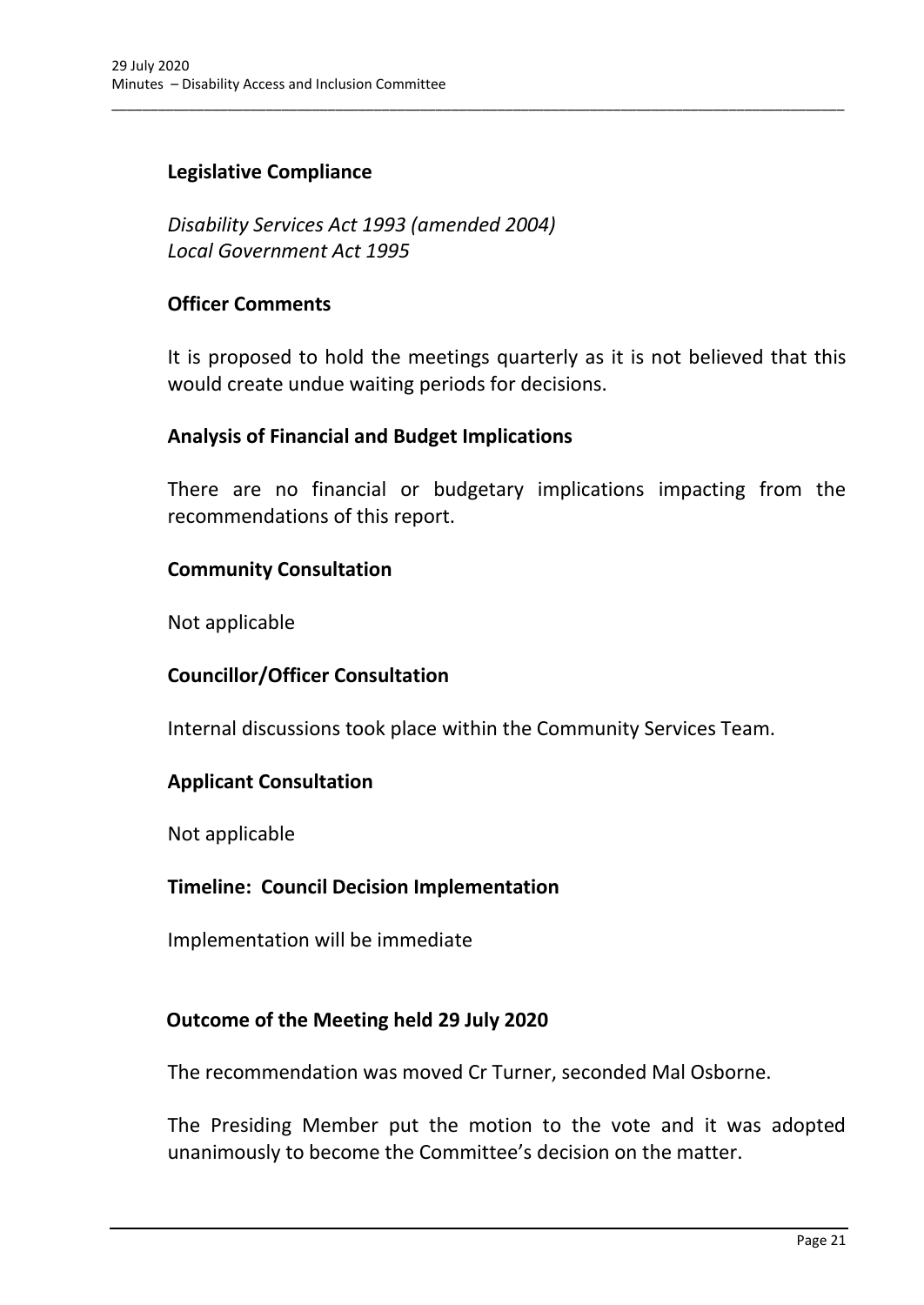## **Legislative Compliance**

*Disability Services Act 1993 (amended 2004) Local Government Act 1995*

#### **Officer Comments**

It is proposed to hold the meetings quarterly as it is not believed that this would create undue waiting periods for decisions.

\_\_\_\_\_\_\_\_\_\_\_\_\_\_\_\_\_\_\_\_\_\_\_\_\_\_\_\_\_\_\_\_\_\_\_\_\_\_\_\_\_\_\_\_\_\_\_\_\_\_\_\_\_\_\_\_\_\_\_\_\_\_\_\_\_\_\_\_\_\_\_\_\_\_\_\_\_\_\_\_\_\_\_\_\_\_\_\_\_\_\_\_\_\_\_

#### **Analysis of Financial and Budget Implications**

There are no financial or budgetary implications impacting from the recommendations of this report.

#### **Community Consultation**

Not applicable

## **Councillor/Officer Consultation**

Internal discussions took place within the Community Services Team.

#### **Applicant Consultation**

Not applicable

#### **Timeline: Council Decision Implementation**

Implementation will be immediate

#### **Outcome of the Meeting held 29 July 2020**

The recommendation was moved Cr Turner, seconded Mal Osborne.

The Presiding Member put the motion to the vote and it was adopted unanimously to become the Committee's decision on the matter.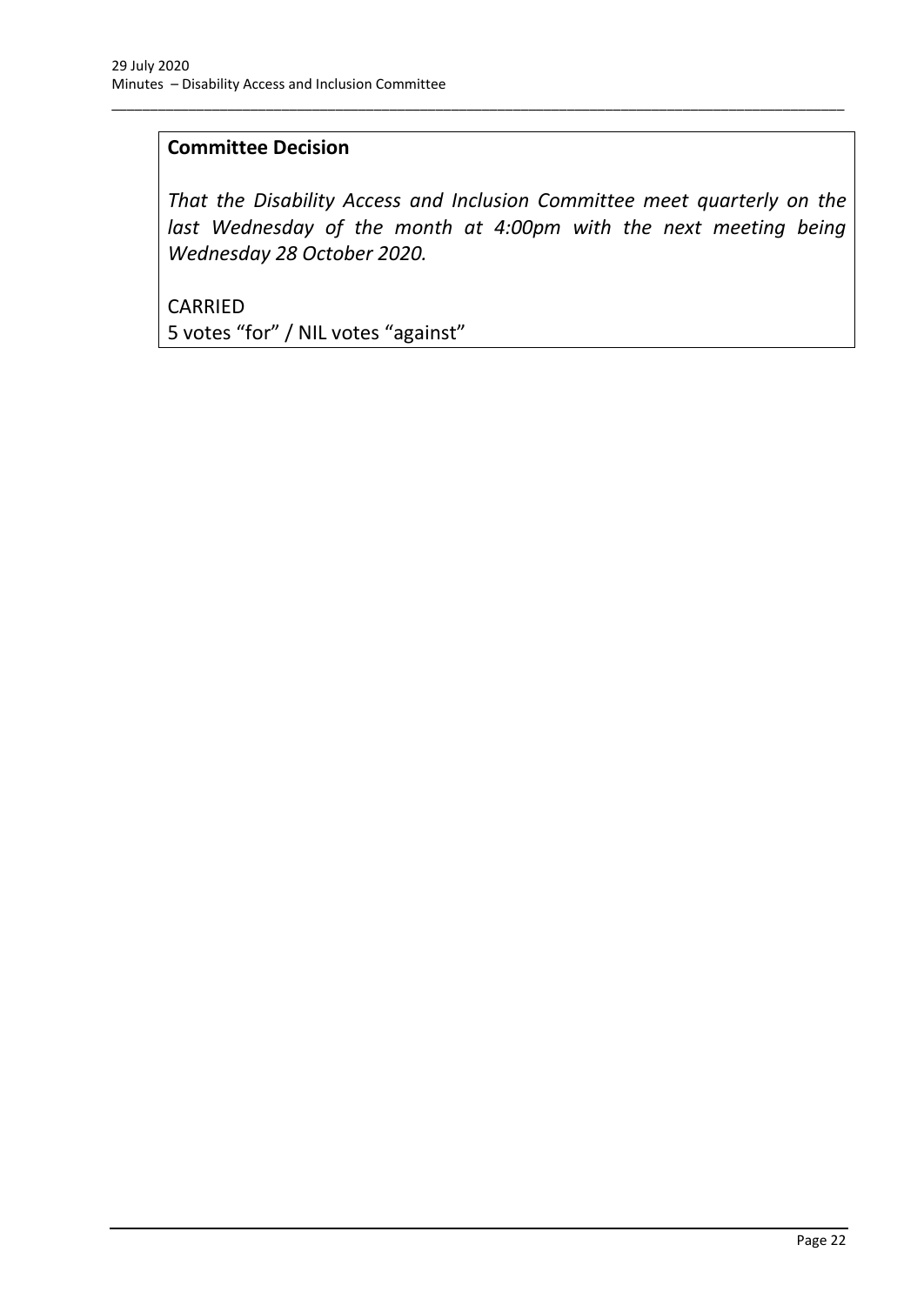## **Committee Decision**

*That the Disability Access and Inclusion Committee meet quarterly on the*  last Wednesday of the month at 4:00pm with the next meeting being *Wednesday 28 October 2020.*

\_\_\_\_\_\_\_\_\_\_\_\_\_\_\_\_\_\_\_\_\_\_\_\_\_\_\_\_\_\_\_\_\_\_\_\_\_\_\_\_\_\_\_\_\_\_\_\_\_\_\_\_\_\_\_\_\_\_\_\_\_\_\_\_\_\_\_\_\_\_\_\_\_\_\_\_\_\_\_\_\_\_\_\_\_\_\_\_\_\_\_\_\_\_\_

CARRIED 5 votes "for" / NIL votes "against"